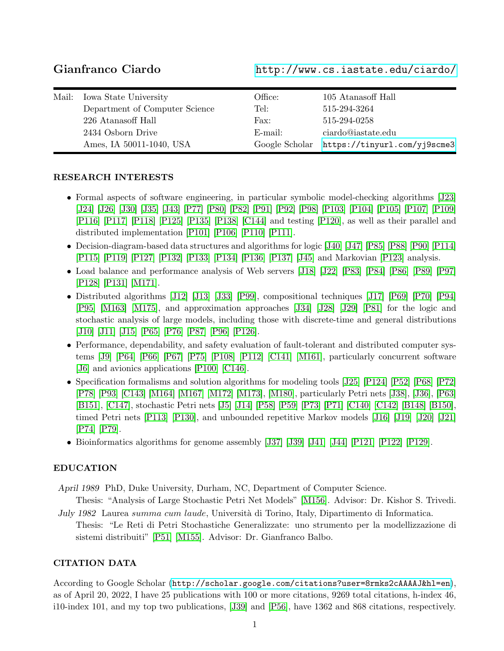Gianfranco Ciardo <http://www.cs.iastate.edu/ciardo/>

| Mail: | Iowa State University          | Office: | 105 Atanasoff Hall                          |
|-------|--------------------------------|---------|---------------------------------------------|
|       | Department of Computer Science | Tel:    | 515-294-3264                                |
|       | 226 Atanasoff Hall             | Fax:    | 515-294-0258                                |
|       | 2434 Osborn Drive              | E-mail: | ciardo@iastate.edu                          |
|       | Ames, IA 50011-1040, USA       |         | Google Scholar https://tinyurl.com/yj9scme3 |

## RESEARCH INTERESTS

- Formal aspects of software engineering, in particular symbolic model-checking algorithms [\[J23\]](#page-11-0) [\[J24\]](#page-11-1) [\[J26\]](#page-11-2) [\[J30\]](#page-11-3) [\[J35\]](#page-12-0) [\[J43\]](#page-12-1) [\[P77\]](#page-15-0) [\[P80\]](#page-15-1) [\[P82\]](#page-15-2) [\[P91\]](#page-15-3) [\[P92\]](#page-16-0) [\[P98\]](#page-16-1) [\[P103\]](#page-16-2) [\[P104\]](#page-16-3) [\[P105\]](#page-16-4) [\[P107\]](#page-16-5) [\[P109\]](#page-17-0) [\[P116\]](#page-17-1) [\[P117\]](#page-17-2) [\[P118\]](#page-17-3) [\[P125\]](#page-18-0) [\[P135\]](#page-18-1) [\[P138\]](#page-19-0) [\[C144\]](#page-19-1) and testing [\[P120\]](#page-17-4), as well as their parallel and distributed implementation [\[P101\]](#page-16-6) [\[P106\]](#page-16-7) [\[P110\]](#page-17-5) [\[P111\]](#page-17-6).
- Decision-diagram-based data structures and algorithms for logic [\[J40\]](#page-12-2) [\[J47\]](#page-13-0) [\[P85\]](#page-15-4) [\[P88\]](#page-15-5) [\[P90\]](#page-15-6) [\[P114\]](#page-17-7) [\[P115\]](#page-17-8) [\[P119\]](#page-17-9) [\[P127\]](#page-18-2) [\[P132\]](#page-18-3) [\[P133\]](#page-18-4) [\[P134\]](#page-18-5) [\[P136\]](#page-18-6) [\[P137\]](#page-19-2) [\[J45\]](#page-13-1) and Markovian [\[P123\]](#page-18-7) analysis.
- Load balance and performance analysis of Web servers [\[J18\]](#page-11-4) [\[J22\]](#page-11-5) [\[P83\]](#page-15-7) [\[P84\]](#page-15-8) [\[P86\]](#page-15-9) [\[P89\]](#page-15-10) [\[P97\]](#page-16-8) [\[P128\]](#page-18-8) [\[P131\]](#page-18-9) [\[M171\]](#page-21-0).
- Distributed algorithms [\[J12\]](#page-10-0) [\[J13\]](#page-10-1) [\[J33\]](#page-11-6) [\[P99\]](#page-16-9), compositional techniques [\[J17\]](#page-11-7) [\[P69\]](#page-14-0) [\[P70\]](#page-14-1) [\[P94\]](#page-16-10) [\[P95\]](#page-16-11) [\[M163\]](#page-20-0) [\[M175\]](#page-21-1), and approximation approaches [\[J34\]](#page-12-3) [\[J28\]](#page-11-8) [\[J29\]](#page-11-9) [\[P81\]](#page-15-11) for the logic and stochastic analysis of large models, including those with discrete-time and general distributions [\[J10\]](#page-10-2) [\[J11\]](#page-10-3) [\[J15\]](#page-10-4) [\[P65\]](#page-14-2) [\[P76\]](#page-15-12) [\[P87\]](#page-15-13) [\[P96\]](#page-16-12) [\[P126\]](#page-18-10).
- Performance, dependability, and safety evaluation of fault-tolerant and distributed computer systems [\[J9\]](#page-10-5) [\[P64\]](#page-14-3) [\[P66\]](#page-14-4) [\[P67\]](#page-14-5) [\[P75\]](#page-14-6) [\[P108\]](#page-17-10) [\[P112\]](#page-17-11) [\[C141\]](#page-19-3) [\[M161\]](#page-20-1), particularly concurrent software [\[J6\]](#page-10-6) and avionics applications [\[P100\]](#page-16-13) [\[C146\]](#page-19-4).
- Specification formalisms and solution algorithms for modeling tools [\[J25\]](#page-11-10) [\[P124\]](#page-18-11) [\[P52\]](#page-13-2) [\[P68\]](#page-14-7) [\[P72\]](#page-14-8) [\[P78\]](#page-15-14) [\[P93\]](#page-16-14) [\[C143\]](#page-19-5) [\[M164\]](#page-20-2) [\[M167\]](#page-21-2) [\[M172\]](#page-21-3) [\[M173\]](#page-21-4), [\[M180\]](#page-21-5), particularly Petri nets [\[J38\]](#page-12-4), [\[J36\]](#page-12-5), [\[P63\]](#page-14-9) [\[B151\]](#page-20-3), [\[C147\]](#page-19-6), stochastic Petri nets [\[J5\]](#page-10-7) [\[J14\]](#page-10-8) [\[P58\]](#page-13-3) [\[P59\]](#page-13-4) [\[P73\]](#page-14-10) [\[P71\]](#page-14-11) [\[C140\]](#page-19-7) [\[C142\]](#page-19-8) [\[B148\]](#page-19-9) [\[B150\]](#page-20-4), timed Petri nets [\[P113\]](#page-17-12) [\[P130\]](#page-18-12), and unbounded repetitive Markov models [\[J16\]](#page-11-11) [\[J19\]](#page-11-12) [\[J20\]](#page-11-13) [\[J21\]](#page-11-14) [\[P74\]](#page-14-12) [\[P79\]](#page-15-15).
- Bioinformatics algorithms for genome assembly [\[J37\]](#page-12-6) [\[J39\]](#page-12-7) [\[J41\]](#page-12-8) [\[J44\]](#page-12-9) [\[P121\]](#page-17-13) [\[P122\]](#page-17-14) [\[P129\]](#page-18-13).

## EDUCATION

- April 1989 PhD, Duke University, Durham, NC, Department of Computer Science.
- Thesis: "Analysis of Large Stochastic Petri Net Models" [\[M156\]](#page-20-5). Advisor: Dr. Kishor S. Trivedi. July 1982 Laurea summa cum laude, Università di Torino, Italy, Dipartimento di Informatica.
- Thesis: "Le Reti di Petri Stochastiche Generalizzate: uno strumento per la modellizzazione di sistemi distribuiti" [\[P51\]](#page-13-5) [\[M155\]](#page-20-6). Advisor: Dr. Gianfranco Balbo.

## CITATION DATA

According to Google Scholar (<http://scholar.google.com/citations?user=8rmks2cAAAAJ&hl=en>), as of April 20, 2022, I have 25 publications with 100 or more citations, 9269 total citations, h-index 46, i10-index 101, and my top two publications, [\[J39\]](#page-12-7) and [\[P56\]](#page-13-6), have 1362 and 868 citations, respectively.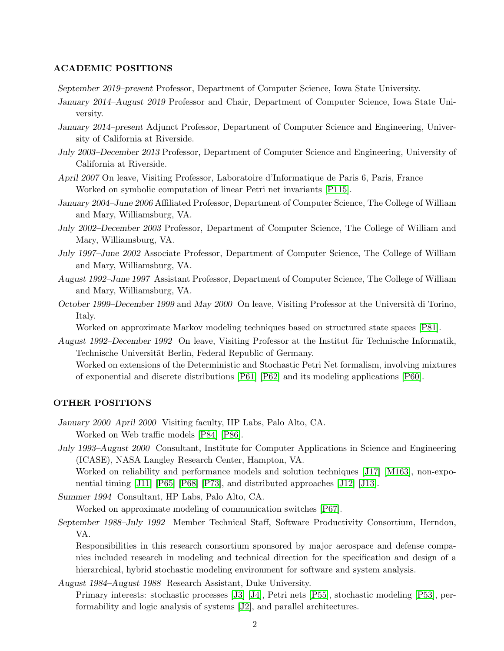#### ACADEMIC POSITIONS

September 2019–present Professor, Department of Computer Science, Iowa State University.

- January 2014–August 2019 Professor and Chair, Department of Computer Science, Iowa State University.
- January 2014–present Adjunct Professor, Department of Computer Science and Engineering, University of California at Riverside.
- July 2003–December 2013 Professor, Department of Computer Science and Engineering, University of California at Riverside.
- April 2007 On leave, Visiting Professor, Laboratoire d'Informatique de Paris 6, Paris, France Worked on symbolic computation of linear Petri net invariants [\[P115\]](#page-17-8).
- January 2004–June 2006 Affiliated Professor, Department of Computer Science, The College of William and Mary, Williamsburg, VA.
- July 2002–December 2003 Professor, Department of Computer Science, The College of William and Mary, Williamsburg, VA.
- July 1997–June 2002 Associate Professor, Department of Computer Science, The College of William and Mary, Williamsburg, VA.
- August 1992–June 1997 Assistant Professor, Department of Computer Science, The College of William and Mary, Williamsburg, VA.
- October 1999–December 1999 and May 2000 On leave, Visiting Professor at the Università di Torino, Italy.

Worked on approximate Markov modeling techniques based on structured state spaces [\[P81\]](#page-15-11).

August 1992–December 1992 On leave, Visiting Professor at the Institut für Technische Informatik, Technische Universität Berlin, Federal Republic of Germany. Worked on extensions of the Deterministic and Stochastic Petri Net formalism, involving mixtures of exponential and discrete distributions [\[P61\]](#page-14-13) [\[P62\]](#page-14-14) and its modeling applications [\[P60\]](#page-14-15).

### OTHER POSITIONS

- January 2000–April 2000 Visiting faculty, HP Labs, Palo Alto, CA. Worked on Web traffic models [\[P84\]](#page-15-8) [\[P86\]](#page-15-9).
- July 1993–August 2000 Consultant, Institute for Computer Applications in Science and Engineering (ICASE), NASA Langley Research Center, Hampton, VA.

Worked on reliability and performance models and solution techniques [\[J17\]](#page-11-7) [\[M163\]](#page-20-0), non-exponential timing [\[J11\]](#page-10-3) [\[P65\]](#page-14-2) [\[P68\]](#page-14-7) [\[P73\]](#page-14-10), and distributed approaches [\[J12\]](#page-10-0) [\[J13\]](#page-10-1).

Summer 1994 Consultant, HP Labs, Palo Alto, CA.

Worked on approximate modeling of communication switches [\[P67\]](#page-14-5).

September 1988–July 1992 Member Technical Staff, Software Productivity Consortium, Herndon, VA.

Responsibilities in this research consortium sponsored by major aerospace and defense companies included research in modeling and technical direction for the specification and design of a hierarchical, hybrid stochastic modeling environment for software and system analysis.

August 1984–August 1988 Research Assistant, Duke University. Primary interests: stochastic processes [\[J3\]](#page-10-9) [\[J4\]](#page-10-10), Petri nets [\[P55\]](#page-13-7), stochastic modeling [\[P53\]](#page-13-8), performability and logic analysis of systems [\[J2\]](#page-10-11), and parallel architectures.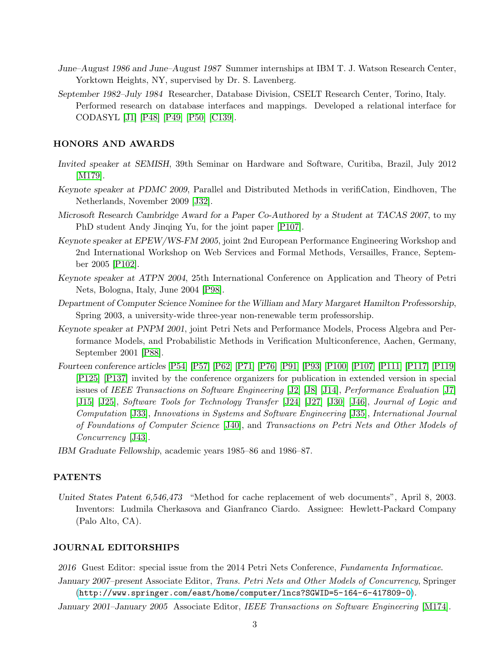- June–August 1986 and June–August 1987 Summer internships at IBM T. J. Watson Research Center, Yorktown Heights, NY, supervised by Dr. S. Lavenberg.
- September 1982–July 1984 Researcher, Database Division, CSELT Research Center, Torino, Italy. Performed research on database interfaces and mappings. Developed a relational interface for CODASYL [\[J1\]](#page-10-12) [\[P48\]](#page-13-9) [\[P49\]](#page-13-10) [\[P50\]](#page-13-11) [\[C139\]](#page-19-10).

#### HONORS AND AWARDS

- Invited speaker at SEMISH, 39th Seminar on Hardware and Software, Curitiba, Brazil, July 2012 [\[M179\]](#page-21-6).
- Keynote speaker at PDMC 2009, Parallel and Distributed Methods in verifiCation, Eindhoven, The Netherlands, November 2009 [\[J32\]](#page-11-15).
- Microsoft Research Cambridge Award for a Paper Co-Authored by a Student at TACAS 2007, to my PhD student Andy Jinqing Yu, for the joint paper [\[P107\]](#page-16-5).
- Keynote speaker at EPEW/WS-FM 2005, joint 2nd European Performance Engineering Workshop and 2nd International Workshop on Web Services and Formal Methods, Versailles, France, September 2005 [\[P102\]](#page-16-15).
- Keynote speaker at ATPN 2004, 25th International Conference on Application and Theory of Petri Nets, Bologna, Italy, June 2004 [\[P98\]](#page-16-1).
- Department of Computer Science Nominee for the William and Mary Margaret Hamilton Professorship, Spring 2003, a university-wide three-year non-renewable term professorship.
- Keynote speaker at PNPM 2001, joint Petri Nets and Performance Models, Process Algebra and Performance Models, and Probabilistic Methods in Verification Multiconference, Aachen, Germany, September 2001 [\[P88\]](#page-15-5).
- Fourteen conference articles [\[P54\]](#page-13-12) [\[P57\]](#page-13-13) [\[P62\]](#page-14-14) [\[P71\]](#page-14-11) [\[P76\]](#page-15-12) [\[P91\]](#page-15-3) [\[P93\]](#page-16-14) [\[P100\]](#page-16-13) [\[P107\]](#page-16-5) [\[P111\]](#page-17-6) [\[P117\]](#page-17-2) [\[P119\]](#page-17-9) [\[P125\]](#page-18-0) [\[P137\]](#page-19-2) invited by the conference organizers for publication in extended version in special issues of IEEE Transactions on Software Engineering [\[J2\]](#page-10-11) [\[J8\]](#page-10-13) [\[J14\]](#page-10-8), Performance Evaluation [\[J7\]](#page-10-14) [\[J15\]](#page-10-4) [\[J25\]](#page-11-10), Software Tools for Technology Transfer [\[J24\]](#page-11-1) [\[J27\]](#page-11-16) [\[J30\]](#page-11-3) [\[J46\]](#page-13-14), Journal of Logic and Computation [\[J33\]](#page-11-6), Innovations in Systems and Software Engineering [\[J35\]](#page-12-0), International Journal of Foundations of Computer Science [\[J40\]](#page-12-2), and Transactions on Petri Nets and Other Models of Concurrency [\[J43\]](#page-12-1).
- IBM Graduate Fellowship, academic years 1985–86 and 1986–87.

#### PATENTS

United States Patent 6,546,473 "Method for cache replacement of web documents", April 8, 2003. Inventors: Ludmila Cherkasova and Gianfranco Ciardo. Assignee: Hewlett-Packard Company (Palo Alto, CA).

#### JOURNAL EDITORSHIPS

2016 Guest Editor: special issue from the 2014 Petri Nets Conference, Fundamenta Informaticae.

January 2007–present Associate Editor, Trans. Petri Nets and Other Models of Concurrency, Springer (<http://www.springer.com/east/home/computer/lncs?SGWID=5-164-6-417809-0>).

January 2001–January 2005 Associate Editor, IEEE Transactions on Software Engineering [\[M174\]](#page-21-7).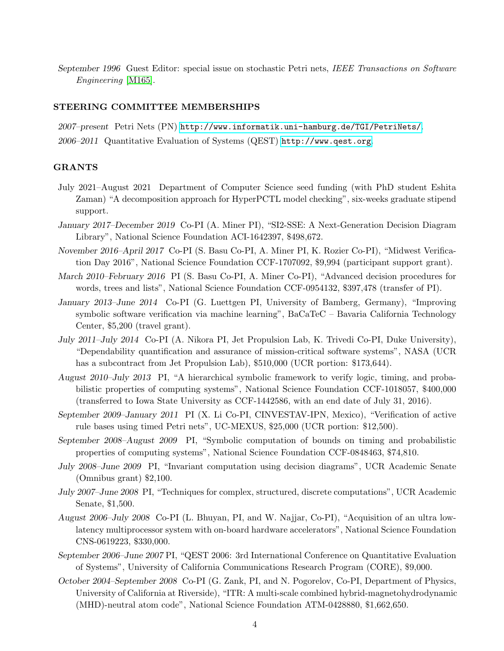September 1996 Guest Editor: special issue on stochastic Petri nets, IEEE Transactions on Software Engineering [\[M165\]](#page-20-7).

#### STEERING COMMITTEE MEMBERSHIPS

2007–present Petri Nets (PN) <http://www.informatik.uni-hamburg.de/TGI/PetriNets/>. 2006–2011 Quantitative Evaluation of Systems (QEST) <http://www.qest.org>.

#### GRANTS

- July 2021–August 2021 Department of Computer Science seed funding (with PhD student Eshita Zaman) "A decomposition approach for HyperPCTL model checking", six-weeks graduate stipend support.
- January 2017–December 2019 Co-PI (A. Miner PI), "SI2-SSE: A Next-Generation Decision Diagram Library", National Science Foundation ACI-1642397, \$498,672.
- November 2016–April 2017 Co-PI (S. Basu Co-PI, A. Miner PI, K. Rozier Co-PI), "Midwest Verification Day 2016", National Science Foundation CCF-1707092, \$9,994 (participant support grant).
- March 2010–February 2016 PI (S. Basu Co-PI, A. Miner Co-PI), "Advanced decision procedures for words, trees and lists", National Science Foundation CCF-0954132, \$397,478 (transfer of PI).
- January 2013–June 2014 Co-PI (G. Luettgen PI, University of Bamberg, Germany), "Improving symbolic software verification via machine learning", BaCaTeC – Bavaria California Technology Center, \$5,200 (travel grant).
- July 2011–July 2014 Co-PI (A. Nikora PI, Jet Propulsion Lab, K. Trivedi Co-PI, Duke University), "Dependability quantification and assurance of mission-critical software systems", NASA (UCR has a subcontract from Jet Propulsion Lab), \$510,000 (UCR portion: \$173,644).
- August 2010–July 2013 PI, "A hierarchical symbolic framework to verify logic, timing, and probabilistic properties of computing systems", National Science Foundation CCF-1018057, \$400,000 (transferred to Iowa State University as CCF-1442586, with an end date of July 31, 2016).
- September 2009–January 2011 PI (X. Li Co-PI, CINVESTAV-IPN, Mexico), "Verification of active rule bases using timed Petri nets", UC-MEXUS, \$25,000 (UCR portion: \$12,500).
- September 2008–August 2009 PI, "Symbolic computation of bounds on timing and probabilistic properties of computing systems", National Science Foundation CCF-0848463, \$74,810.
- July 2008–June 2009 PI, "Invariant computation using decision diagrams", UCR Academic Senate (Omnibus grant) \$2,100.
- July 2007–June 2008 PI, "Techniques for complex, structured, discrete computations", UCR Academic Senate, \$1,500.
- August 2006–July 2008 Co-PI (L. Bhuyan, PI, and W. Najjar, Co-PI), "Acquisition of an ultra lowlatency multiprocessor system with on-board hardware accelerators", National Science Foundation CNS-0619223, \$330,000.
- September 2006–June 2007 PI, "QEST 2006: 3rd International Conference on Quantitative Evaluation of Systems", University of California Communications Research Program (CORE), \$9,000.
- October 2004–September 2008 Co-PI (G. Zank, PI, and N. Pogorelov, Co-PI, Department of Physics, University of California at Riverside), "ITR: A multi-scale combined hybrid-magnetohydrodynamic (MHD)-neutral atom code", National Science Foundation ATM-0428880, \$1,662,650.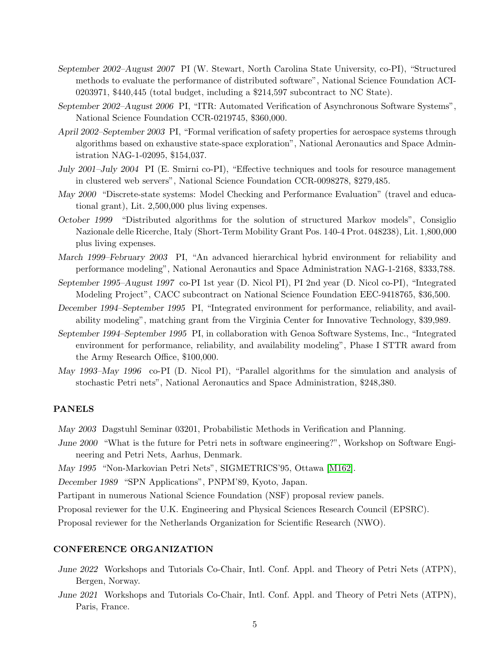- September 2002–August 2007 PI (W. Stewart, North Carolina State University, co-PI), "Structured methods to evaluate the performance of distributed software", National Science Foundation ACI-0203971, \$440,445 (total budget, including a \$214,597 subcontract to NC State).
- September 2002–August 2006 PI, "ITR: Automated Verification of Asynchronous Software Systems", National Science Foundation CCR-0219745, \$360,000.
- April 2002–September 2003 PI, "Formal verification of safety properties for aerospace systems through algorithms based on exhaustive state-space exploration", National Aeronautics and Space Administration NAG-1-02095, \$154,037.
- July 2001–July 2004 PI (E. Smirni co-PI), "Effective techniques and tools for resource management in clustered web servers", National Science Foundation CCR-0098278, \$279,485.
- May 2000 "Discrete-state systems: Model Checking and Performance Evaluation" (travel and educational grant), Lit. 2,500,000 plus living expenses.
- October 1999 "Distributed algorithms for the solution of structured Markov models", Consiglio Nazionale delle Ricerche, Italy (Short-Term Mobility Grant Pos. 140-4 Prot. 048238), Lit. 1,800,000 plus living expenses.
- March 1999–February 2003 PI, "An advanced hierarchical hybrid environment for reliability and performance modeling", National Aeronautics and Space Administration NAG-1-2168, \$333,788.
- September 1995–August 1997 co-PI 1st year (D. Nicol PI), PI 2nd year (D. Nicol co-PI), "Integrated Modeling Project", CACC subcontract on National Science Foundation EEC-9418765, \$36,500.
- December 1994–September 1995 PI, "Integrated environment for performance, reliability, and availability modeling", matching grant from the Virginia Center for Innovative Technology, \$39,989.
- September 1994–September 1995 PI, in collaboration with Genoa Software Systems, Inc., "Integrated environment for performance, reliability, and availability modeling", Phase I STTR award from the Army Research Office, \$100,000.
- May 1993–May 1996 co-PI (D. Nicol PI), "Parallel algorithms for the simulation and analysis of stochastic Petri nets", National Aeronautics and Space Administration, \$248,380.

### PANELS

May 2003 Dagstuhl Seminar 03201, Probabilistic Methods in Verification and Planning.

June 2000 "What is the future for Petri nets in software engineering?", Workshop on Software Engineering and Petri Nets, Aarhus, Denmark.

May 1995 "Non-Markovian Petri Nets", SIGMETRICS'95, Ottawa [\[M162\]](#page-20-8).

December 1989 "SPN Applications", PNPM'89, Kyoto, Japan.

Partipant in numerous National Science Foundation (NSF) proposal review panels.

Proposal reviewer for the U.K. Engineering and Physical Sciences Research Council (EPSRC).

Proposal reviewer for the Netherlands Organization for Scientific Research (NWO).

#### CONFERENCE ORGANIZATION

- June 2022 Workshops and Tutorials Co-Chair, Intl. Conf. Appl. and Theory of Petri Nets (ATPN), Bergen, Norway.
- June 2021 Workshops and Tutorials Co-Chair, Intl. Conf. Appl. and Theory of Petri Nets (ATPN), Paris, France.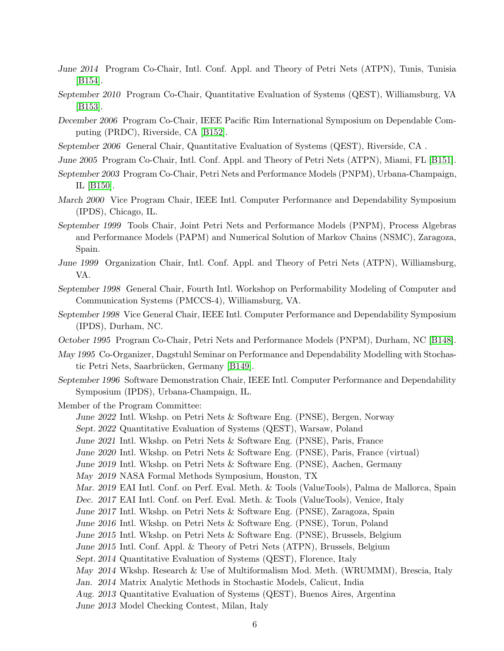- June 2014 Program Co-Chair, Intl. Conf. Appl. and Theory of Petri Nets (ATPN), Tunis, Tunisia [\[B154\]](#page-20-9).
- September 2010 Program Co-Chair, Quantitative Evaluation of Systems (QEST), Williamsburg, VA [\[B153\]](#page-20-10).
- December 2006 Program Co-Chair, IEEE Pacific Rim International Symposium on Dependable Computing (PRDC), Riverside, CA [\[B152\]](#page-20-11).
- September 2006 General Chair, Quantitative Evaluation of Systems (QEST), Riverside, CA .
- June 2005 Program Co-Chair, Intl. Conf. Appl. and Theory of Petri Nets (ATPN), Miami, FL [\[B151\]](#page-20-3).
- September 2003 Program Co-Chair, Petri Nets and Performance Models (PNPM), Urbana-Champaign, IL [\[B150\]](#page-20-4).
- March 2000 Vice Program Chair, IEEE Intl. Computer Performance and Dependability Symposium (IPDS), Chicago, IL.
- September 1999 Tools Chair, Joint Petri Nets and Performance Models (PNPM), Process Algebras and Performance Models (PAPM) and Numerical Solution of Markov Chains (NSMC), Zaragoza, Spain.
- June 1999 Organization Chair, Intl. Conf. Appl. and Theory of Petri Nets (ATPN), Williamsburg, VA.
- September 1998 General Chair, Fourth Intl. Workshop on Performability Modeling of Computer and Communication Systems (PMCCS-4), Williamsburg, VA.
- September 1998 Vice General Chair, IEEE Intl. Computer Performance and Dependability Symposium (IPDS), Durham, NC.
- October 1995 Program Co-Chair, Petri Nets and Performance Models (PNPM), Durham, NC [\[B148\]](#page-19-9).
- May 1995 Co-Organizer, Dagstuhl Seminar on Performance and Dependability Modelling with Stochas-tic Petri Nets, Saarbrücken, Germany [\[B149\]](#page-19-11).
- September 1996 Software Demonstration Chair, IEEE Intl. Computer Performance and Dependability Symposium (IPDS), Urbana-Champaign, IL.

Member of the Program Committee:

June 2022 Intl. Wkshp. on Petri Nets & Software Eng. (PNSE), Bergen, Norway

Sept. 2022 Quantitative Evaluation of Systems (QEST), Warsaw, Poland

- June 2021 Intl. Wkshp. on Petri Nets & Software Eng. (PNSE), Paris, France
- June 2020 Intl. Wkshp. on Petri Nets & Software Eng. (PNSE), Paris, France (virtual)
- June 2019 Intl. Wkshp. on Petri Nets & Software Eng. (PNSE), Aachen, Germany
- May 2019 NASA Formal Methods Symposium, Houston, TX
- Mar. 2019 EAI Intl. Conf. on Perf. Eval. Meth. & Tools (ValueTools), Palma de Mallorca, Spain
- Dec. 2017 EAI Intl. Conf. on Perf. Eval. Meth. & Tools (ValueTools), Venice, Italy
- June 2017 Intl. Wkshp. on Petri Nets & Software Eng. (PNSE), Zaragoza, Spain
- June 2016 Intl. Wkshp. on Petri Nets & Software Eng. (PNSE), Torun, Poland
- June 2015 Intl. Wkshp. on Petri Nets & Software Eng. (PNSE), Brussels, Belgium
- June 2015 Intl. Conf. Appl. & Theory of Petri Nets (ATPN), Brussels, Belgium
- Sept. 2014 Quantitative Evaluation of Systems (QEST), Florence, Italy
- May 2014 Wkshp. Research & Use of Multiformalism Mod. Meth. (WRUMMM), Brescia, Italy
- Jan. 2014 Matrix Analytic Methods in Stochastic Models, Calicut, India
- Aug. 2013 Quantitative Evaluation of Systems (QEST), Buenos Aires, Argentina
- June 2013 Model Checking Contest, Milan, Italy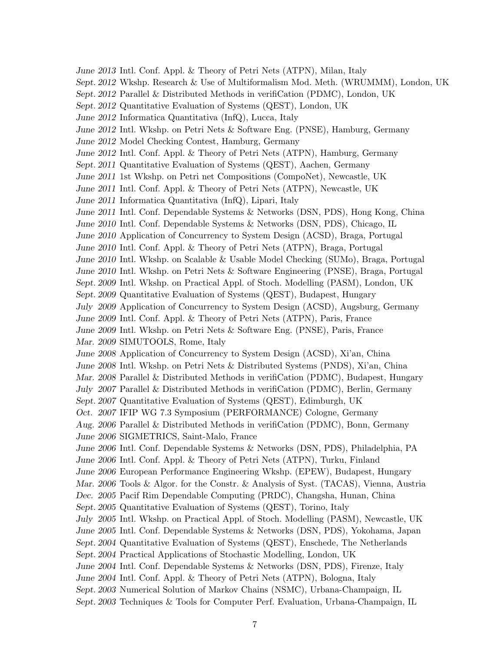June 2013 Intl. Conf. Appl. & Theory of Petri Nets (ATPN), Milan, Italy Sept. 2012 Wkshp. Research & Use of Multiformalism Mod. Meth. (WRUMMM), London, UK Sept. 2012 Parallel & Distributed Methods in verifiCation (PDMC), London, UK Sept. 2012 Quantitative Evaluation of Systems (QEST), London, UK June 2012 Informatica Quantitativa (InfQ), Lucca, Italy June 2012 Intl. Wkshp. on Petri Nets & Software Eng. (PNSE), Hamburg, Germany June 2012 Model Checking Contest, Hamburg, Germany June 2012 Intl. Conf. Appl. & Theory of Petri Nets (ATPN), Hamburg, Germany Sept. 2011 Quantitative Evaluation of Systems (QEST), Aachen, Germany June 2011 1st Wkshp. on Petri net Compositions (CompoNet), Newcastle, UK June 2011 Intl. Conf. Appl. & Theory of Petri Nets (ATPN), Newcastle, UK June 2011 Informatica Quantitativa (InfQ), Lipari, Italy June 2011 Intl. Conf. Dependable Systems & Networks (DSN, PDS), Hong Kong, China June 2010 Intl. Conf. Dependable Systems & Networks (DSN, PDS), Chicago, IL June 2010 Application of Concurrency to System Design (ACSD), Braga, Portugal June 2010 Intl. Conf. Appl. & Theory of Petri Nets (ATPN), Braga, Portugal June 2010 Intl. Wkshp. on Scalable & Usable Model Checking (SUMo), Braga, Portugal June 2010 Intl. Wkshp. on Petri Nets & Software Engineering (PNSE), Braga, Portugal Sept. 2009 Intl. Wkshp. on Practical Appl. of Stoch. Modelling (PASM), London, UK Sept. 2009 Quantitative Evaluation of Systems (QEST), Budapest, Hungary July 2009 Application of Concurrency to System Design (ACSD), Augsburg, Germany June 2009 Intl. Conf. Appl. & Theory of Petri Nets (ATPN), Paris, France June 2009 Intl. Wkshp. on Petri Nets & Software Eng. (PNSE), Paris, France Mar. 2009 SIMUTOOLS, Rome, Italy June 2008 Application of Concurrency to System Design (ACSD), Xi'an, China June 2008 Intl. Wkshp. on Petri Nets & Distributed Systems (PNDS), Xi'an, China Mar. 2008 Parallel & Distributed Methods in verifiCation (PDMC), Budapest, Hungary July 2007 Parallel & Distributed Methods in verifiCation (PDMC), Berlin, Germany Sept. 2007 Quantitative Evaluation of Systems (QEST), Edimburgh, UK Oct. 2007 IFIP WG 7.3 Symposium (PERFORMANCE) Cologne, Germany Aug. 2006 Parallel & Distributed Methods in verifiCation (PDMC), Bonn, Germany June 2006 SIGMETRICS, Saint-Malo, France June 2006 Intl. Conf. Dependable Systems & Networks (DSN, PDS), Philadelphia, PA June 2006 Intl. Conf. Appl. & Theory of Petri Nets (ATPN), Turku, Finland June 2006 European Performance Engineering Wkshp. (EPEW), Budapest, Hungary Mar. 2006 Tools & Algor. for the Constr. & Analysis of Syst. (TACAS), Vienna, Austria Dec. 2005 Pacif Rim Dependable Computing (PRDC), Changsha, Hunan, China Sept. 2005 Quantitative Evaluation of Systems (QEST), Torino, Italy July 2005 Intl. Wkshp. on Practical Appl. of Stoch. Modelling (PASM), Newcastle, UK June 2005 Intl. Conf. Dependable Systems & Networks (DSN, PDS), Yokohama, Japan Sept. 2004 Quantitative Evaluation of Systems (QEST), Enschede, The Netherlands Sept. 2004 Practical Applications of Stochastic Modelling, London, UK June 2004 Intl. Conf. Dependable Systems & Networks (DSN, PDS), Firenze, Italy June 2004 Intl. Conf. Appl. & Theory of Petri Nets (ATPN), Bologna, Italy Sept. 2003 Numerical Solution of Markov Chains (NSMC), Urbana-Champaign, IL Sept. 2003 Techniques & Tools for Computer Perf. Evaluation, Urbana-Champaign, IL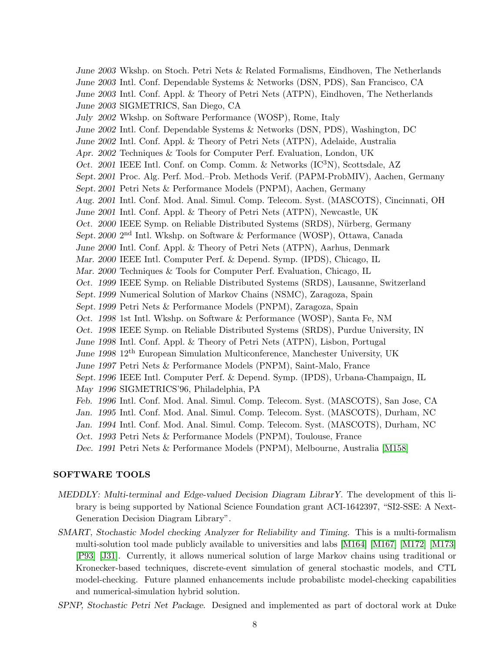June 2003 Wkshp. on Stoch. Petri Nets & Related Formalisms, Eindhoven, The Netherlands June 2003 Intl. Conf. Dependable Systems & Networks (DSN, PDS), San Francisco, CA June 2003 Intl. Conf. Appl. & Theory of Petri Nets (ATPN), Eindhoven, The Netherlands June 2003 SIGMETRICS, San Diego, CA July 2002 Wkshp. on Software Performance (WOSP), Rome, Italy June 2002 Intl. Conf. Dependable Systems & Networks (DSN, PDS), Washington, DC June 2002 Intl. Conf. Appl. & Theory of Petri Nets (ATPN), Adelaide, Australia Apr. 2002 Techniques & Tools for Computer Perf. Evaluation, London, UK Oct. 2001 IEEE Intl. Conf. on Comp. Comm. & Networks  $(IC<sup>3</sup>N)$ , Scottsdale, AZ Sept. 2001 Proc. Alg. Perf. Mod.–Prob. Methods Verif. (PAPM-ProbMIV), Aachen, Germany Sept. 2001 Petri Nets & Performance Models (PNPM), Aachen, Germany Aug. 2001 Intl. Conf. Mod. Anal. Simul. Comp. Telecom. Syst. (MASCOTS), Cincinnati, OH June 2001 Intl. Conf. Appl. & Theory of Petri Nets (ATPN), Newcastle, UK Oct. 2000 IEEE Symp. on Reliable Distributed Systems (SRDS), Nürberg, Germany Sept. 2000 2<sup>nd</sup> Intl. Wkshp. on Software & Performance (WOSP), Ottawa, Canada June 2000 Intl. Conf. Appl. & Theory of Petri Nets (ATPN), Aarhus, Denmark Mar. 2000 IEEE Intl. Computer Perf. & Depend. Symp. (IPDS), Chicago, IL Mar. 2000 Techniques & Tools for Computer Perf. Evaluation, Chicago, IL Oct. 1999 IEEE Symp. on Reliable Distributed Systems (SRDS), Lausanne, Switzerland Sept. 1999 Numerical Solution of Markov Chains (NSMC), Zaragoza, Spain Sept. 1999 Petri Nets & Performance Models (PNPM), Zaragoza, Spain Oct. 1998 1st Intl. Wkshp. on Software & Performance (WOSP), Santa Fe, NM Oct. 1998 IEEE Symp. on Reliable Distributed Systems (SRDS), Purdue University, IN June 1998 Intl. Conf. Appl. & Theory of Petri Nets (ATPN), Lisbon, Portugal June 1998 12th European Simulation Multiconference, Manchester University, UK June 1997 Petri Nets & Performance Models (PNPM), Saint-Malo, France Sept. 1996 IEEE Intl. Computer Perf. & Depend. Symp. (IPDS), Urbana-Champaign, IL May 1996 SIGMETRICS'96, Philadelphia, PA Feb. 1996 Intl. Conf. Mod. Anal. Simul. Comp. Telecom. Syst. (MASCOTS), San Jose, CA Jan. 1995 Intl. Conf. Mod. Anal. Simul. Comp. Telecom. Syst. (MASCOTS), Durham, NC Jan. 1994 Intl. Conf. Mod. Anal. Simul. Comp. Telecom. Syst. (MASCOTS), Durham, NC Oct. 1993 Petri Nets & Performance Models (PNPM), Toulouse, France Dec. 1991 Petri Nets & Performance Models (PNPM), Melbourne, Australia [\[M158\]](#page-20-12)

#### SOFTWARE TOOLS

- MEDDLY: Multi-terminal and Edge-valued Decision Diagram LibrarY. The development of this library is being supported by National Science Foundation grant ACI-1642397, "SI2-SSE: A Next-Generation Decision Diagram Library".
- SMART, Stochastic Model checking Analyzer for Reliability and Timing. This is a multi-formalism multi-solution tool made publicly available to universities and labs [\[M164\]](#page-20-2) [\[M167\]](#page-21-2) [\[M172\]](#page-21-3) [\[M173\]](#page-21-4) [\[P93\]](#page-16-14) [\[J31\]](#page-11-17). Currently, it allows numerical solution of large Markov chains using traditional or Kronecker-based techniques, discrete-event simulation of general stochastic models, and CTL model-checking. Future planned enhancements include probabilistc model-checking capabilities and numerical-simulation hybrid solution.
- SPNP, Stochastic Petri Net Package. Designed and implemented as part of doctoral work at Duke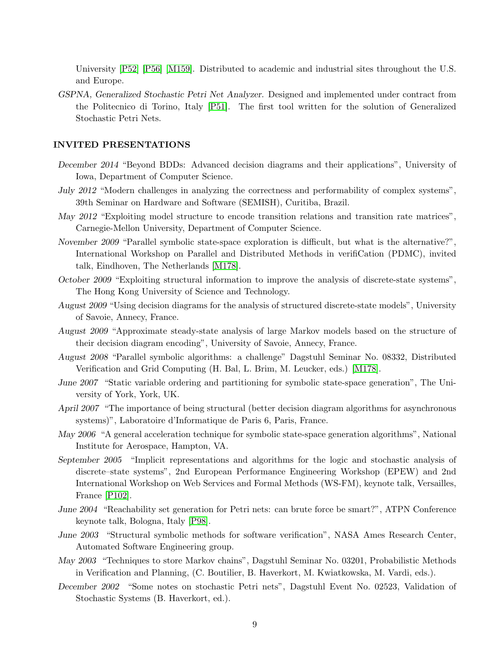University [\[P52\]](#page-13-2) [\[P56\]](#page-13-6) [\[M159\]](#page-20-13). Distributed to academic and industrial sites throughout the U.S. and Europe.

GSPNA, Generalized Stochastic Petri Net Analyzer. Designed and implemented under contract from the Politecnico di Torino, Italy [\[P51\]](#page-13-5). The first tool written for the solution of Generalized Stochastic Petri Nets.

#### INVITED PRESENTATIONS

- December 2014 "Beyond BDDs: Advanced decision diagrams and their applications", University of Iowa, Department of Computer Science.
- July 2012 "Modern challenges in analyzing the correctness and performability of complex systems", 39th Seminar on Hardware and Software (SEMISH), Curitiba, Brazil.
- May 2012 "Exploiting model structure to encode transition relations and transition rate matrices", Carnegie-Mellon University, Department of Computer Science.
- November 2009 "Parallel symbolic state-space exploration is difficult, but what is the alternative?", International Workshop on Parallel and Distributed Methods in verifiCation (PDMC), invited talk, Eindhoven, The Netherlands [\[M178\]](#page-21-8).
- October 2009 "Exploiting structural information to improve the analysis of discrete-state systems", The Hong Kong University of Science and Technology.
- August 2009 "Using decision diagrams for the analysis of structured discrete-state models", University of Savoie, Annecy, France.
- August 2009 "Approximate steady-state analysis of large Markov models based on the structure of their decision diagram encoding", University of Savoie, Annecy, France.
- August 2008 "Parallel symbolic algorithms: a challenge" Dagstuhl Seminar No. 08332, Distributed Verification and Grid Computing (H. Bal, L. Brim, M. Leucker, eds.) [\[M178\]](#page-21-8).
- June 2007 "Static variable ordering and partitioning for symbolic state-space generation", The University of York, York, UK.
- April 2007 "The importance of being structural (better decision diagram algorithms for asynchronous systems)", Laboratoire d'Informatique de Paris 6, Paris, France.
- May 2006 "A general acceleration technique for symbolic state-space generation algorithms", National Institute for Aerospace, Hampton, VA.
- September 2005 "Implicit representations and algorithms for the logic and stochastic analysis of discrete–state systems", 2nd European Performance Engineering Workshop (EPEW) and 2nd International Workshop on Web Services and Formal Methods (WS-FM), keynote talk, Versailles, France [\[P102\]](#page-16-15).
- June 2004 "Reachability set generation for Petri nets: can brute force be smart?", ATPN Conference keynote talk, Bologna, Italy [\[P98\]](#page-16-1).
- June 2003 "Structural symbolic methods for software verification", NASA Ames Research Center, Automated Software Engineering group.
- May 2003 "Techniques to store Markov chains", Dagstuhl Seminar No. 03201, Probabilistic Methods in Verification and Planning, (C. Boutilier, B. Haverkort, M. Kwiatkowska, M. Vardi, eds.).
- December 2002 "Some notes on stochastic Petri nets", Dagstuhl Event No. 02523, Validation of Stochastic Systems (B. Haverkort, ed.).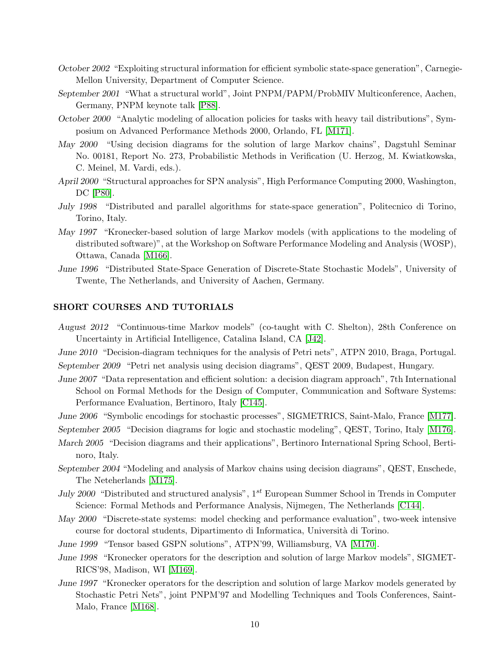- October 2002 "Exploiting structural information for efficient symbolic state-space generation", Carnegie-Mellon University, Department of Computer Science.
- September 2001 "What a structural world", Joint PNPM/PAPM/ProbMIV Multiconference, Aachen, Germany, PNPM keynote talk [\[P88\]](#page-15-5).
- October 2000 "Analytic modeling of allocation policies for tasks with heavy tail distributions", Symposium on Advanced Performance Methods 2000, Orlando, FL [\[M171\]](#page-21-0).
- May 2000 "Using decision diagrams for the solution of large Markov chains", Dagstuhl Seminar No. 00181, Report No. 273, Probabilistic Methods in Verification (U. Herzog, M. Kwiatkowska, C. Meinel, M. Vardi, eds.).
- April 2000 "Structural approaches for SPN analysis", High Performance Computing 2000, Washington, DC [\[P80\]](#page-15-1).
- July 1998 "Distributed and parallel algorithms for state-space generation", Politecnico di Torino, Torino, Italy.
- May 1997 "Kronecker-based solution of large Markov models (with applications to the modeling of distributed software)", at the Workshop on Software Performance Modeling and Analysis (WOSP), Ottawa, Canada [\[M166\]](#page-20-14).
- June 1996 "Distributed State-Space Generation of Discrete-State Stochastic Models", University of Twente, The Netherlands, and University of Aachen, Germany.

## SHORT COURSES AND TUTORIALS

- August 2012 "Continuous-time Markov models" (co-taught with C. Shelton), 28th Conference on Uncertainty in Artificial Intelligence, Catalina Island, CA [\[J42\]](#page-12-10).
- June 2010 "Decision-diagram techniques for the analysis of Petri nets", ATPN 2010, Braga, Portugal. September 2009 "Petri net analysis using decision diagrams", QEST 2009, Budapest, Hungary.
- June 2007 "Data representation and efficient solution: a decision diagram approach", 7th International School on Formal Methods for the Design of Computer, Communication and Software Systems: Performance Evaluation, Bertinoro, Italy [\[C145\]](#page-19-12).
- June 2006 "Symbolic encodings for stochastic processes", SIGMETRICS, Saint-Malo, France [\[M177\]](#page-21-9).

September 2005 "Decision diagrams for logic and stochastic modeling", QEST, Torino, Italy [\[M176\]](#page-21-10).

- March 2005 "Decision diagrams and their applications", Bertinoro International Spring School, Bertinoro, Italy.
- September 2004 "Modeling and analysis of Markov chains using decision diagrams", QEST, Enschede, The Neteherlands [\[M175\]](#page-21-1).
- July 2000 "Distributed and structured analysis",  $1^{st}$  European Summer School in Trends in Computer Science: Formal Methods and Performance Analysis, Nijmegen, The Netherlands [\[C144\]](#page-19-1).
- May 2000 "Discrete-state systems: model checking and performance evaluation", two-week intensive course for doctoral students, Dipartimento di Informatica, Universit`a di Torino.
- June 1999 "Tensor based GSPN solutions", ATPN'99, Williamsburg, VA [\[M170\]](#page-21-11).
- June 1998 "Kronecker operators for the description and solution of large Markov models", SIGMET-RICS'98, Madison, WI [\[M169\]](#page-21-12).
- June 1997 "Kronecker operators for the description and solution of large Markov models generated by Stochastic Petri Nets", joint PNPM'97 and Modelling Techniques and Tools Conferences, Saint-Malo, France [\[M168\]](#page-21-13).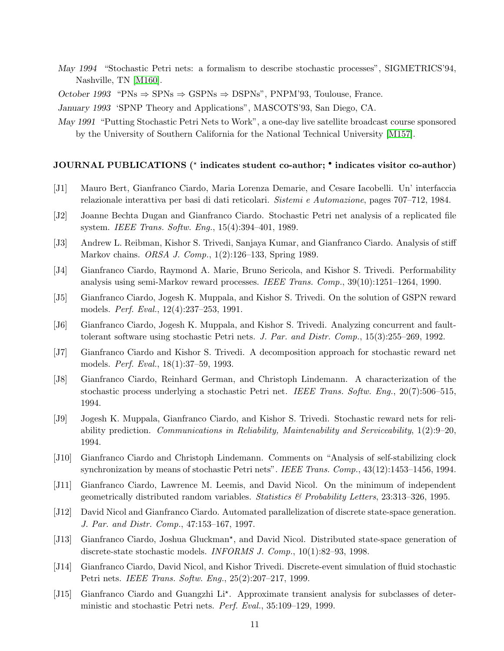- May 1994 "Stochastic Petri nets: a formalism to describe stochastic processes", SIGMETRICS'94, Nashville, TN [\[M160\]](#page-20-15).
- October 1993 "PNs  $\Rightarrow$  SPNs  $\Rightarrow$  GSPNs  $\Rightarrow$  DSPNs", PNPM'93, Toulouse, France.

January 1993 'SPNP Theory and Applications", MASCOTS'93, San Diego, CA.

May 1991 "Putting Stochastic Petri Nets to Work", a one-day live satellite broadcast course sponsored by the University of Southern California for the National Technical University [\[M157\]](#page-20-16).

## JOURNAL PUBLICATIONS (\* indicates student co-author; • indicates visitor co-author)

- <span id="page-10-12"></span>[J1] Mauro Bert, Gianfranco Ciardo, Maria Lorenza Demarie, and Cesare Iacobelli. Un' interfaccia relazionale interattiva per basi di dati reticolari. Sistemi e Automazione, pages 707–712, 1984.
- <span id="page-10-11"></span>[J2] Joanne Bechta Dugan and Gianfranco Ciardo. Stochastic Petri net analysis of a replicated file system. IEEE Trans. Softw. Eng., 15(4):394–401, 1989.
- <span id="page-10-9"></span>[J3] Andrew L. Reibman, Kishor S. Trivedi, Sanjaya Kumar, and Gianfranco Ciardo. Analysis of stiff Markov chains. ORSA J. Comp., 1(2):126–133, Spring 1989.
- <span id="page-10-10"></span>[J4] Gianfranco Ciardo, Raymond A. Marie, Bruno Sericola, and Kishor S. Trivedi. Performability analysis using semi-Markov reward processes. IEEE Trans. Comp., 39(10):1251–1264, 1990.
- <span id="page-10-7"></span>[J5] Gianfranco Ciardo, Jogesh K. Muppala, and Kishor S. Trivedi. On the solution of GSPN reward models. Perf. Eval., 12(4):237–253, 1991.
- <span id="page-10-6"></span>[J6] Gianfranco Ciardo, Jogesh K. Muppala, and Kishor S. Trivedi. Analyzing concurrent and faulttolerant software using stochastic Petri nets. J. Par. and Distr. Comp., 15(3):255–269, 1992.
- <span id="page-10-14"></span>[J7] Gianfranco Ciardo and Kishor S. Trivedi. A decomposition approach for stochastic reward net models. Perf. Eval., 18(1):37–59, 1993.
- <span id="page-10-13"></span>[J8] Gianfranco Ciardo, Reinhard German, and Christoph Lindemann. A characterization of the stochastic process underlying a stochastic Petri net. IEEE Trans. Softw. Eng., 20(7):506–515, 1994.
- <span id="page-10-5"></span>[J9] Jogesh K. Muppala, Gianfranco Ciardo, and Kishor S. Trivedi. Stochastic reward nets for reliability prediction. Communications in Reliability, Maintenability and Serviceability, 1(2):9–20, 1994.
- <span id="page-10-2"></span>[J10] Gianfranco Ciardo and Christoph Lindemann. Comments on "Analysis of self-stabilizing clock synchronization by means of stochastic Petri nets". IEEE Trans. Comp.,  $43(12):1453-1456$ , 1994.
- <span id="page-10-3"></span>[J11] Gianfranco Ciardo, Lawrence M. Leemis, and David Nicol. On the minimum of independent geometrically distributed random variables. Statistics  $\mathcal{B}$  Probability Letters, 23:313–326, 1995.
- <span id="page-10-0"></span>[J12] David Nicol and Gianfranco Ciardo. Automated parallelization of discrete state-space generation. J. Par. and Distr. Comp., 47:153–167, 1997.
- <span id="page-10-1"></span>[J13] Gianfranco Ciardo, Joshua Gluckman<sup>\*</sup>, and David Nicol. Distributed state-space generation of discrete-state stochastic models. INFORMS J. Comp., 10(1):82–93, 1998.
- <span id="page-10-8"></span>[J14] Gianfranco Ciardo, David Nicol, and Kishor Trivedi. Discrete-event simulation of fluid stochastic Petri nets. IEEE Trans. Softw. Eng., 25(2):207–217, 1999.
- <span id="page-10-4"></span>[J15] Gianfranco Ciardo and Guangzhi Li\*. Approximate transient analysis for subclasses of deterministic and stochastic Petri nets. Perf. Eval., 35:109–129, 1999.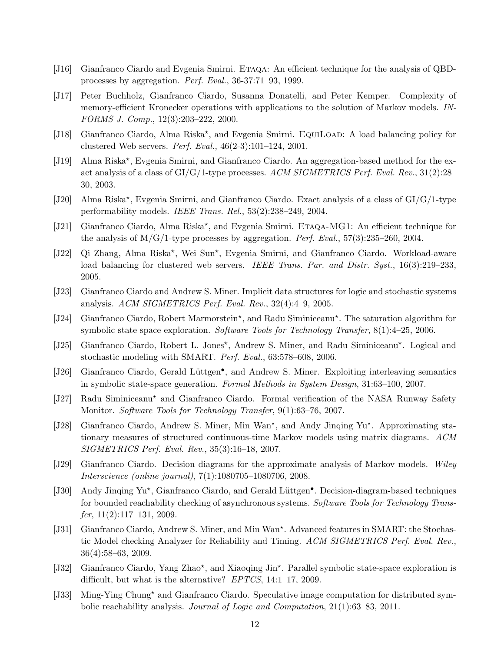- <span id="page-11-11"></span>[J16] Gianfranco Ciardo and Evgenia Smirni. Etaqa: An efficient technique for the analysis of QBDprocesses by aggregation. Perf. Eval., 36-37:71–93, 1999.
- <span id="page-11-7"></span>[J17] Peter Buchholz, Gianfranco Ciardo, Susanna Donatelli, and Peter Kemper. Complexity of memory-efficient Kronecker operations with applications to the solution of Markov models. IN-FORMS J. Comp., 12(3):203–222, 2000.
- <span id="page-11-4"></span>[J18] Gianfranco Ciardo, Alma Riska<sup>\*</sup>, and Evgenia Smirni. EQUILOAD: A load balancing policy for clustered Web servers. Perf. Eval., 46(2-3):101–124, 2001.
- <span id="page-11-12"></span>[J19] Alma Riska\*, Evgenia Smirni, and Gianfranco Ciardo. An aggregation-based method for the exact analysis of a class of  $GI/G/1$ -type processes. ACM SIGMETRICS Perf. Eval. Rev.,  $31(2):28$ -30, 2003.
- <span id="page-11-13"></span>[J20] Alma Riska\*, Evgenia Smirni, and Gianfranco Ciardo. Exact analysis of a class of GI/G/1-type performability models. IEEE Trans. Rel., 53(2):238–249, 2004.
- <span id="page-11-14"></span>[J21] Gianfranco Ciardo, Alma Riska<sup>\*</sup>, and Evgenia Smirni. ETAQA-MG1: An efficient technique for the analysis of  $M/G/1$ -type processes by aggregation. *Perf. Eval.*, 57(3):235–260, 2004.
- <span id="page-11-5"></span>[J22] Qi Zhang, Alma Riska\*, Wei Sun\*, Evgenia Smirni, and Gianfranco Ciardo. Workload-aware load balancing for clustered web servers. IEEE Trans. Par. and Distr. Syst., 16(3):219–233, 2005.
- <span id="page-11-0"></span>[J23] Gianfranco Ciardo and Andrew S. Miner. Implicit data structures for logic and stochastic systems analysis. ACM SIGMETRICS Perf. Eval. Rev., 32(4):4–9, 2005.
- <span id="page-11-1"></span>[J24] Gianfranco Ciardo, Robert Marmorstein<sup>\*</sup>, and Radu Siminiceanu<sup>\*</sup>. The saturation algorithm for symbolic state space exploration. Software Tools for Technology Transfer, 8(1):4–25, 2006.
- <span id="page-11-10"></span>[J25] Gianfranco Ciardo, Robert L. Jones\*, Andrew S. Miner, and Radu Siminiceanu\*. Logical and stochastic modeling with SMART. Perf. Eval., 63:578–608, 2006.
- <span id="page-11-2"></span>[J26] Gianfranco Ciardo, Gerald Lüttgen<sup>•</sup>, and Andrew S. Miner. Exploiting interleaving semantics in symbolic state-space generation. Formal Methods in System Design, 31:63–100, 2007.
- <span id="page-11-16"></span>[J27] Radu Siminiceanu? and Gianfranco Ciardo. Formal verification of the NASA Runway Safety Monitor. Software Tools for Technology Transfer, 9(1):63–76, 2007.
- <span id="page-11-8"></span>[J28] Gianfranco Ciardo, Andrew S. Miner, Min Wan<sup>\*</sup>, and Andy Jinqing Yu<sup>\*</sup>. Approximating stationary measures of structured continuous-time Markov models using matrix diagrams. ACM SIGMETRICS Perf. Eval. Rev., 35(3):16–18, 2007.
- <span id="page-11-9"></span>[J29] Gianfranco Ciardo. Decision diagrams for the approximate analysis of Markov models. Wiley Interscience (online journal), 7(1):1080705–1080706, 2008.
- <span id="page-11-3"></span>[J30] Andy Jinqing Yu\*, Gianfranco Ciardo, and Gerald Lüttgen<sup>•</sup>. Decision-diagram-based techniques for bounded reachability checking of asynchronous systems. Software Tools for Technology Trans $fer, 11(2):117-131, 2009.$
- <span id="page-11-17"></span>[J31] Gianfranco Ciardo, Andrew S. Miner, and Min Wan\*. Advanced features in SMART: the Stochastic Model checking Analyzer for Reliability and Timing. ACM SIGMETRICS Perf. Eval. Rev., 36(4):58–63, 2009.
- <span id="page-11-15"></span>[J32] Gianfranco Ciardo, Yang Zhao\*, and Xiaoqing Jin\*. Parallel symbolic state-space exploration is difficult, but what is the alternative? EPTCS, 14:1-17, 2009.
- <span id="page-11-6"></span>[J33] Ming-Ying Chung? and Gianfranco Ciardo. Speculative image computation for distributed symbolic reachability analysis. Journal of Logic and Computation, 21(1):63–83, 2011.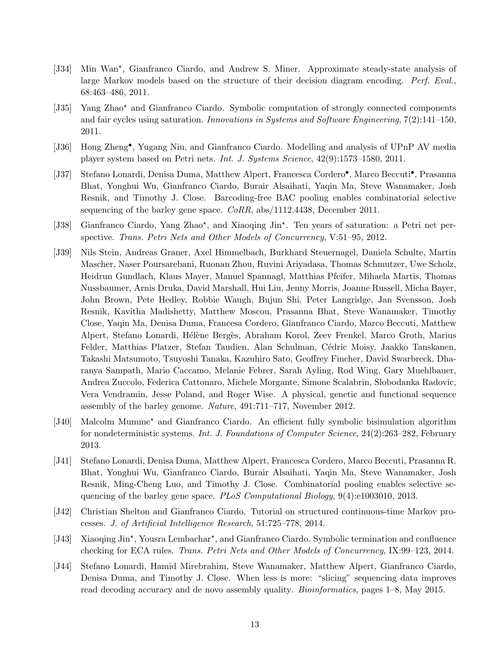- <span id="page-12-3"></span>[J34] Min Wan\*, Gianfranco Ciardo, and Andrew S. Miner. Approximate steady-state analysis of large Markov models based on the structure of their decision diagram encoding. Perf. Eval., 68:463–486, 2011.
- <span id="page-12-0"></span>[J35] Yang Zhao? and Gianfranco Ciardo. Symbolic computation of strongly connected components and fair cycles using saturation. Innovations in Systems and Software Engineering, 7(2):141–150, 2011.
- <span id="page-12-5"></span>[J36] Hong Zheng• , Yugang Niu, and Gianfranco Ciardo. Modelling and analysis of UPnP AV media player system based on Petri nets. Int. J. Systems Science, 42(9):1573–1580, 2011.
- <span id="page-12-6"></span>[J37] Stefano Lonardi, Denisa Duma, Matthew Alpert, Francesca Cordero<sup>•</sup>, Marco Beccuti<sup>•</sup>, Prasanna Bhat, Yonghui Wu, Gianfranco Ciardo, Burair Alsaihati, Yaqin Ma, Steve Wanamaker, Josh Resnik, and Timothy J. Close. Barcoding-free BAC pooling enables combinatorial selective sequencing of the barley gene space. CoRR, abs/1112.4438, December 2011.
- <span id="page-12-4"></span>[J38] Gianfranco Ciardo, Yang Zhao\*, and Xiaoqing Jin\*. Ten years of saturation: a Petri net perspective. Trans. Petri Nets and Other Models of Concurrency, V:51–95, 2012.
- <span id="page-12-7"></span>[J39] Nils Stein, Andreas Graner, Axel Himmelbach, Burkhard Steuernagel, Daniela Schulte, Martin Mascher, Naser Poursarebani, Ruonan Zhou, Ruvini Ariyadasa, Thomas Schmutzer, Uwe Scholz, Heidrun Gundlach, Klaus Mayer, Manuel Spannagl, Matthias Pfeifer, Mihaela Martis, Thomas Nussbaumer, Arnis Druka, David Marshall, Hui Liu, Jenny Morris, Joanne Russell, Micha Bayer, John Brown, Pete Hedley, Robbie Waugh, Bujun Shi, Peter Langridge, Jan Svensson, Josh Resnik, Kavitha Madishetty, Matthew Moscou, Prasanna Bhat, Steve Wanamaker, Timothy Close, Yaqin Ma, Denisa Duma, Francesa Cordero, Gianfranco Ciardo, Marco Beccuti, Matthew Alpert, Stefano Lonardi, Hélène Bergès, Abraham Korol, Zeev Frenkel, Marco Groth, Marius Felder, Matthias Platzer, Stefan Taudien, Alan Schulman, Cédric Moisy, Jaakko Tanskanen, Takashi Matsumoto, Tsuyoshi Tanaka, Kazuhiro Sato, Geoffrey Fincher, David Swarbreck, Dharanya Sampath, Mario Caccamo, Melanie Febrer, Sarah Ayling, Rod Wing, Gary Muehlbauer, Andrea Zuccolo, Federica Cattonaro, Michele Morgante, Simone Scalabrin, Slobodanka Radovic, Vera Vendramin, Jesse Poland, and Roger Wise. A physical, genetic and functional sequence assembly of the barley genome. Nature, 491:711–717, November 2012.
- <span id="page-12-2"></span>[J40] Malcolm Mumme? and Gianfranco Ciardo. An efficient fully symbolic bisimulation algorithm for nondeterministic systems. Int. J. Foundations of Computer Science, 24(2):263–282, February 2013.
- <span id="page-12-8"></span>[J41] Stefano Lonardi, Denisa Duma, Matthew Alpert, Francesca Cordero, Marco Beccuti, Prasanna R. Bhat, Yonghui Wu, Gianfranco Ciardo, Burair Alsaihati, Yaqin Ma, Steve Wanamaker, Josh Resnik, Ming-Cheng Luo, and Timothy J. Close. Combinatorial pooling enables selective sequencing of the barley gene space. PLoS Computational Biology, 9(4):e1003010, 2013.
- <span id="page-12-10"></span>[J42] Christian Shelton and Gianfranco Ciardo. Tutorial on structured continuous-time Markov processes. J. of Artificial Intelligence Research, 51:725–778, 2014.
- <span id="page-12-1"></span>[J43] Xiaoqing Jin\*, Yousra Lembachar\*, and Gianfranco Ciardo. Symbolic termination and confluence checking for ECA rules. Trans. Petri Nets and Other Models of Concurrency, IX:99–123, 2014.
- <span id="page-12-9"></span>[J44] Stefano Lonardi, Hamid Mirebrahim, Steve Wanamaker, Matthew Alpert, Gianfranco Ciardo, Denisa Duma, and Timothy J. Close. When less is more: "slicing" sequencing data improves read decoding accuracy and de novo assembly quality. *Bioinformatics*, pages 1–8, May 2015.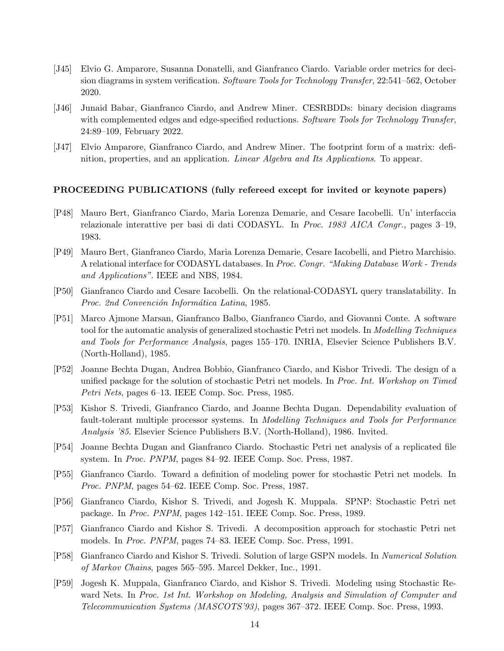- <span id="page-13-1"></span>[J45] Elvio G. Amparore, Susanna Donatelli, and Gianfranco Ciardo. Variable order metrics for decision diagrams in system verification. Software Tools for Technology Transfer, 22:541–562, October 2020.
- <span id="page-13-14"></span>[J46] Junaid Babar, Gianfranco Ciardo, and Andrew Miner. CESRBDDs: binary decision diagrams with complemented edges and edge-specified reductions. Software Tools for Technology Transfer, 24:89–109, February 2022.
- <span id="page-13-0"></span>[J47] Elvio Amparore, Gianfranco Ciardo, and Andrew Miner. The footprint form of a matrix: definition, properties, and an application. Linear Algebra and Its Applications. To appear.

#### PROCEEDING PUBLICATIONS (fully refereed except for invited or keynote papers)

- <span id="page-13-9"></span>[P48] Mauro Bert, Gianfranco Ciardo, Maria Lorenza Demarie, and Cesare Iacobelli. Un' interfaccia relazionale interattive per basi di dati CODASYL. In Proc. 1983 AICA Congr., pages 3–19, 1983.
- <span id="page-13-10"></span>[P49] Mauro Bert, Gianfranco Ciardo, Maria Lorenza Demarie, Cesare Iacobelli, and Pietro Marchisio. A relational interface for CODASYL databases. In Proc. Congr. "Making Database Work - Trends and Applications". IEEE and NBS, 1984.
- <span id="page-13-11"></span>[P50] Gianfranco Ciardo and Cesare Iacobelli. On the relational-CODASYL query translatability. In Proc. 2nd Convención Informática Latina, 1985.
- <span id="page-13-5"></span>[P51] Marco Ajmone Marsan, Gianfranco Balbo, Gianfranco Ciardo, and Giovanni Conte. A software tool for the automatic analysis of generalized stochastic Petri net models. In Modelling Techniques and Tools for Performance Analysis, pages 155–170. INRIA, Elsevier Science Publishers B.V. (North-Holland), 1985.
- <span id="page-13-2"></span>[P52] Joanne Bechta Dugan, Andrea Bobbio, Gianfranco Ciardo, and Kishor Trivedi. The design of a unified package for the solution of stochastic Petri net models. In Proc. Int. Workshop on Timed Petri Nets, pages 6–13. IEEE Comp. Soc. Press, 1985.
- <span id="page-13-8"></span>[P53] Kishor S. Trivedi, Gianfranco Ciardo, and Joanne Bechta Dugan. Dependability evaluation of fault-tolerant multiple processor systems. In Modelling Techniques and Tools for Performance Analysis '85. Elsevier Science Publishers B.V. (North-Holland), 1986. Invited.
- <span id="page-13-12"></span>[P54] Joanne Bechta Dugan and Gianfranco Ciardo. Stochastic Petri net analysis of a replicated file system. In Proc. PNPM, pages 84–92. IEEE Comp. Soc. Press, 1987.
- <span id="page-13-7"></span>[P55] Gianfranco Ciardo. Toward a definition of modeling power for stochastic Petri net models. In Proc. PNPM, pages 54–62. IEEE Comp. Soc. Press, 1987.
- <span id="page-13-6"></span>[P56] Gianfranco Ciardo, Kishor S. Trivedi, and Jogesh K. Muppala. SPNP: Stochastic Petri net package. In Proc. PNPM, pages 142–151. IEEE Comp. Soc. Press, 1989.
- <span id="page-13-13"></span>[P57] Gianfranco Ciardo and Kishor S. Trivedi. A decomposition approach for stochastic Petri net models. In Proc. PNPM, pages 74–83. IEEE Comp. Soc. Press, 1991.
- <span id="page-13-3"></span>[P58] Gianfranco Ciardo and Kishor S. Trivedi. Solution of large GSPN models. In Numerical Solution of Markov Chains, pages 565–595. Marcel Dekker, Inc., 1991.
- <span id="page-13-4"></span>[P59] Jogesh K. Muppala, Gianfranco Ciardo, and Kishor S. Trivedi. Modeling using Stochastic Reward Nets. In Proc. 1st Int. Workshop on Modeling, Analysis and Simulation of Computer and Telecommunication Systems (MASCOTS'93), pages 367–372. IEEE Comp. Soc. Press, 1993.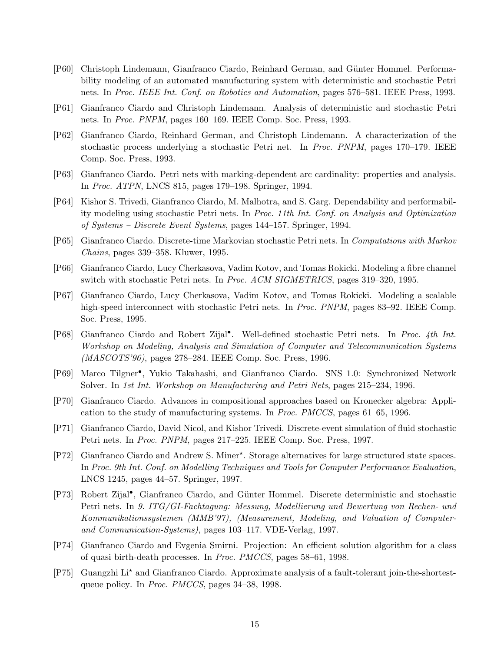- <span id="page-14-15"></span>[P60] Christoph Lindemann, Gianfranco Ciardo, Reinhard German, and G¨unter Hommel. Performability modeling of an automated manufacturing system with deterministic and stochastic Petri nets. In Proc. IEEE Int. Conf. on Robotics and Automation, pages 576–581. IEEE Press, 1993.
- <span id="page-14-13"></span>[P61] Gianfranco Ciardo and Christoph Lindemann. Analysis of deterministic and stochastic Petri nets. In Proc. PNPM, pages 160–169. IEEE Comp. Soc. Press, 1993.
- <span id="page-14-14"></span>[P62] Gianfranco Ciardo, Reinhard German, and Christoph Lindemann. A characterization of the stochastic process underlying a stochastic Petri net. In Proc. PNPM, pages 170–179. IEEE Comp. Soc. Press, 1993.
- <span id="page-14-9"></span>[P63] Gianfranco Ciardo. Petri nets with marking-dependent arc cardinality: properties and analysis. In Proc. ATPN, LNCS 815, pages 179–198. Springer, 1994.
- <span id="page-14-3"></span>[P64] Kishor S. Trivedi, Gianfranco Ciardo, M. Malhotra, and S. Garg. Dependability and performability modeling using stochastic Petri nets. In Proc. 11th Int. Conf. on Analysis and Optimization of Systems – Discrete Event Systems, pages 144–157. Springer, 1994.
- <span id="page-14-2"></span>[P65] Gianfranco Ciardo. Discrete-time Markovian stochastic Petri nets. In Computations with Markov Chains, pages 339–358. Kluwer, 1995.
- <span id="page-14-4"></span>[P66] Gianfranco Ciardo, Lucy Cherkasova, Vadim Kotov, and Tomas Rokicki. Modeling a fibre channel switch with stochastic Petri nets. In Proc. ACM SIGMETRICS, pages 319–320, 1995.
- <span id="page-14-5"></span>[P67] Gianfranco Ciardo, Lucy Cherkasova, Vadim Kotov, and Tomas Rokicki. Modeling a scalable high-speed interconnect with stochastic Petri nets. In *Proc. PNPM*, pages 83–92. IEEE Comp. Soc. Press, 1995.
- <span id="page-14-7"></span>[P68] Gianfranco Ciardo and Robert Zijal• . Well-defined stochastic Petri nets. In Proc. 4th Int. Workshop on Modeling, Analysis and Simulation of Computer and Telecommunication Systems (MASCOTS'96), pages 278–284. IEEE Comp. Soc. Press, 1996.
- <span id="page-14-0"></span>[P69] Marco Tilgner• , Yukio Takahashi, and Gianfranco Ciardo. SNS 1.0: Synchronized Network Solver. In 1st Int. Workshop on Manufacturing and Petri Nets, pages 215–234, 1996.
- <span id="page-14-1"></span>[P70] Gianfranco Ciardo. Advances in compositional approaches based on Kronecker algebra: Application to the study of manufacturing systems. In Proc. PMCCS, pages 61–65, 1996.
- <span id="page-14-11"></span>[P71] Gianfranco Ciardo, David Nicol, and Kishor Trivedi. Discrete-event simulation of fluid stochastic Petri nets. In Proc. PNPM, pages 217–225. IEEE Comp. Soc. Press, 1997.
- <span id="page-14-8"></span>[P72] Gianfranco Ciardo and Andrew S. Miner\*. Storage alternatives for large structured state spaces. In Proc. 9th Int. Conf. on Modelling Techniques and Tools for Computer Performance Evaluation, LNCS 1245, pages 44–57. Springer, 1997.
- <span id="page-14-10"></span>[P73] Robert Zijal<sup>•</sup>, Gianfranco Ciardo, and Günter Hommel. Discrete deterministic and stochastic Petri nets. In 9. ITG/GI-Fachtagung: Messung, Modellierung und Bewertung von Rechen- und Kommunikationssystemen (MMB'97), (Measurement, Modeling, and Valuation of Computerand Communication-Systems), pages 103–117. VDE-Verlag, 1997.
- <span id="page-14-12"></span>[P74] Gianfranco Ciardo and Evgenia Smirni. Projection: An efficient solution algorithm for a class of quasi birth-death processes. In Proc. PMCCS, pages 58–61, 1998.
- <span id="page-14-6"></span>[P75] Guangzhi Li? and Gianfranco Ciardo. Approximate analysis of a fault-tolerant join-the-shortestqueue policy. In Proc. PMCCS, pages 34–38, 1998.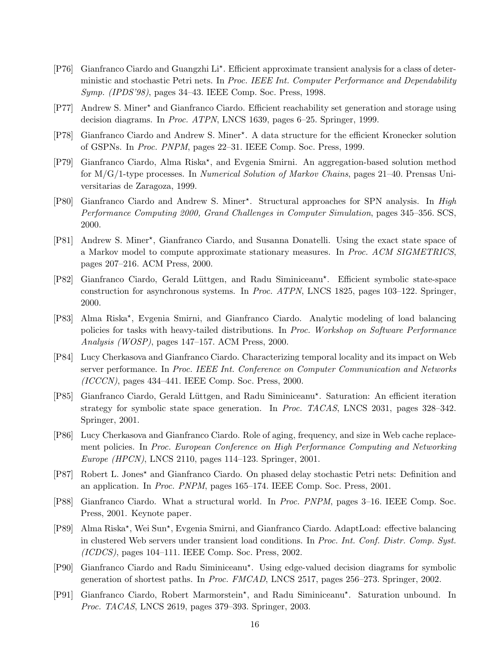- <span id="page-15-12"></span>[P76] Gianfranco Ciardo and Guangzhi Li<sup>\*</sup>. Efficient approximate transient analysis for a class of deterministic and stochastic Petri nets. In Proc. IEEE Int. Computer Performance and Dependability Symp. (IPDS'98), pages 34–43. IEEE Comp. Soc. Press, 1998.
- <span id="page-15-0"></span>[P77] Andrew S. Miner? and Gianfranco Ciardo. Efficient reachability set generation and storage using decision diagrams. In Proc. ATPN, LNCS 1639, pages 6–25. Springer, 1999.
- <span id="page-15-14"></span>[P78] Gianfranco Ciardo and Andrew S. Miner? . A data structure for the efficient Kronecker solution of GSPNs. In Proc. PNPM, pages 22–31. IEEE Comp. Soc. Press, 1999.
- <span id="page-15-15"></span>[P79] Gianfranco Ciardo, Alma Riska<sup>\*</sup>, and Evgenia Smirni. An aggregation-based solution method for M/G/1-type processes. In Numerical Solution of Markov Chains, pages 21–40. Prensas Universitarias de Zaragoza, 1999.
- <span id="page-15-1"></span>[P80] Gianfranco Ciardo and Andrew S. Miner\*. Structural approaches for SPN analysis. In High Performance Computing 2000, Grand Challenges in Computer Simulation, pages 345–356. SCS, 2000.
- <span id="page-15-11"></span>[P81] Andrew S. Miner\*, Gianfranco Ciardo, and Susanna Donatelli. Using the exact state space of a Markov model to compute approximate stationary measures. In Proc. ACM SIGMETRICS, pages 207–216. ACM Press, 2000.
- <span id="page-15-2"></span>[P82] Gianfranco Ciardo, Gerald Lüttgen, and Radu Siminiceanu<sup>\*</sup>. Efficient symbolic state-space construction for asynchronous systems. In Proc. ATPN, LNCS 1825, pages 103–122. Springer, 2000.
- <span id="page-15-7"></span>[P83] Alma Riska\*, Evgenia Smirni, and Gianfranco Ciardo. Analytic modeling of load balancing policies for tasks with heavy-tailed distributions. In Proc. Workshop on Software Performance Analysis (WOSP), pages 147–157. ACM Press, 2000.
- <span id="page-15-8"></span>[P84] Lucy Cherkasova and Gianfranco Ciardo. Characterizing temporal locality and its impact on Web server performance. In Proc. IEEE Int. Conference on Computer Communication and Networks (ICCCN), pages 434–441. IEEE Comp. Soc. Press, 2000.
- <span id="page-15-4"></span>[P85] Gianfranco Ciardo, Gerald Lüttgen, and Radu Siminiceanu\*. Saturation: An efficient iteration strategy for symbolic state space generation. In Proc. TACAS, LNCS 2031, pages 328–342. Springer, 2001.
- <span id="page-15-9"></span>[P86] Lucy Cherkasova and Gianfranco Ciardo. Role of aging, frequency, and size in Web cache replacement policies. In Proc. European Conference on High Performance Computing and Networking Europe (HPCN), LNCS 2110, pages 114–123. Springer, 2001.
- <span id="page-15-13"></span>[P87] Robert L. Jones? and Gianfranco Ciardo. On phased delay stochastic Petri nets: Definition and an application. In Proc. PNPM, pages 165–174. IEEE Comp. Soc. Press, 2001.
- <span id="page-15-5"></span>[P88] Gianfranco Ciardo. What a structural world. In Proc. PNPM, pages 3–16. IEEE Comp. Soc. Press, 2001. Keynote paper.
- <span id="page-15-10"></span>[P89] Alma Riska<sup>\*</sup>, Wei Sun<sup>\*</sup>, Evgenia Smirni, and Gianfranco Ciardo. AdaptLoad: effective balancing in clustered Web servers under transient load conditions. In Proc. Int. Conf. Distr. Comp. Syst. (ICDCS), pages 104–111. IEEE Comp. Soc. Press, 2002.
- <span id="page-15-6"></span>[P90] Gianfranco Ciardo and Radu Siminiceanu? . Using edge-valued decision diagrams for symbolic generation of shortest paths. In Proc. FMCAD, LNCS 2517, pages 256–273. Springer, 2002.
- <span id="page-15-3"></span>[P91] Gianfranco Ciardo, Robert Marmorstein\*, and Radu Siminiceanu\*. Saturation unbound. In Proc. TACAS, LNCS 2619, pages 379–393. Springer, 2003.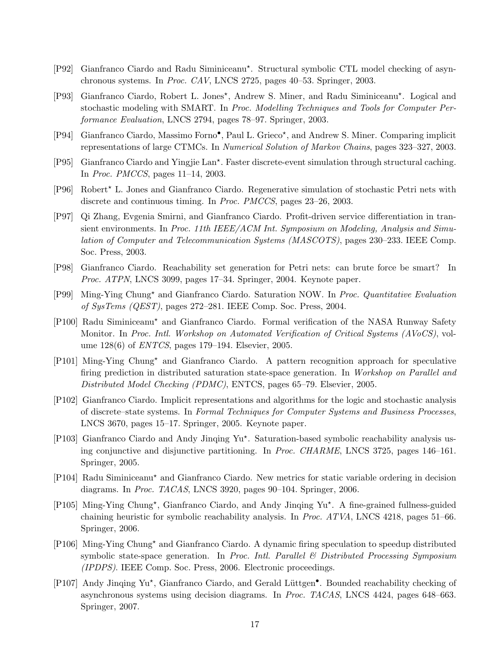- <span id="page-16-0"></span>[P92] Gianfranco Ciardo and Radu Siminiceanu? . Structural symbolic CTL model checking of asynchronous systems. In Proc. CAV, LNCS 2725, pages 40–53. Springer, 2003.
- <span id="page-16-14"></span>[P93] Gianfranco Ciardo, Robert L. Jones\*, Andrew S. Miner, and Radu Siminiceanu\*. Logical and stochastic modeling with SMART. In Proc. Modelling Techniques and Tools for Computer Performance Evaluation, LNCS 2794, pages 78–97. Springer, 2003.
- <span id="page-16-10"></span>[P94] Gianfranco Ciardo, Massimo Forno<sup>•</sup>, Paul L. Grieco<sup>\*</sup>, and Andrew S. Miner. Comparing implicit representations of large CTMCs. In Numerical Solution of Markov Chains, pages 323–327, 2003.
- <span id="page-16-11"></span>[P95] Gianfranco Ciardo and Yingjie Lan? . Faster discrete-event simulation through structural caching. In Proc. PMCCS, pages 11–14, 2003.
- <span id="page-16-12"></span>[P96] Robert? L. Jones and Gianfranco Ciardo. Regenerative simulation of stochastic Petri nets with discrete and continuous timing. In Proc. PMCCS, pages 23–26, 2003.
- <span id="page-16-8"></span>[P97] Qi Zhang, Evgenia Smirni, and Gianfranco Ciardo. Profit-driven service differentiation in transient environments. In Proc. 11th IEEE/ACM Int. Symposium on Modeling, Analysis and Simulation of Computer and Telecommunication Systems (MASCOTS), pages 230–233. IEEE Comp. Soc. Press, 2003.
- <span id="page-16-1"></span>[P98] Gianfranco Ciardo. Reachability set generation for Petri nets: can brute force be smart? In Proc. ATPN, LNCS 3099, pages 17–34. Springer, 2004. Keynote paper.
- <span id="page-16-9"></span>[P99] Ming-Ying Chung? and Gianfranco Ciardo. Saturation NOW. In Proc. Quantitative Evaluation of SysTems (QEST), pages 272–281. IEEE Comp. Soc. Press, 2004.
- <span id="page-16-13"></span>[P100] Radu Siminiceanu? and Gianfranco Ciardo. Formal verification of the NASA Runway Safety Monitor. In Proc. Intl. Workshop on Automated Verification of Critical Systems (AVoCS), volume 128(6) of ENTCS, pages 179–194. Elsevier, 2005.
- <span id="page-16-6"></span>[P101] Ming-Ying Chung? and Gianfranco Ciardo. A pattern recognition approach for speculative firing prediction in distributed saturation state-space generation. In Workshop on Parallel and Distributed Model Checking (PDMC), ENTCS, pages 65–79. Elsevier, 2005.
- <span id="page-16-15"></span>[P102] Gianfranco Ciardo. Implicit representations and algorithms for the logic and stochastic analysis of discrete–state systems. In Formal Techniques for Computer Systems and Business Processes, LNCS 3670, pages 15–17. Springer, 2005. Keynote paper.
- <span id="page-16-2"></span>[P103] Gianfranco Ciardo and Andy Jinqing Yu\*. Saturation-based symbolic reachability analysis using conjunctive and disjunctive partitioning. In Proc. CHARME, LNCS 3725, pages 146–161. Springer, 2005.
- <span id="page-16-3"></span>[P104] Radu Siminiceanu? and Gianfranco Ciardo. New metrics for static variable ordering in decision diagrams. In Proc. TACAS, LNCS 3920, pages 90–104. Springer, 2006.
- <span id="page-16-4"></span>[P105] Ming-Ying Chung\*, Gianfranco Ciardo, and Andy Jinqing Yu\*. A fine-grained fullness-guided chaining heuristic for symbolic reachability analysis. In Proc. ATVA, LNCS 4218, pages 51–66. Springer, 2006.
- <span id="page-16-7"></span>[P106] Ming-Ying Chung? and Gianfranco Ciardo. A dynamic firing speculation to speedup distributed symbolic state-space generation. In Proc. Intl. Parallel  $\mathcal B$  Distributed Processing Symposium (IPDPS). IEEE Comp. Soc. Press, 2006. Electronic proceedings.
- <span id="page-16-5"></span>[P107] Andy Jinqing Yu\*, Gianfranco Ciardo, and Gerald Lüttgen<sup>•</sup>. Bounded reachability checking of asynchronous systems using decision diagrams. In Proc. TACAS, LNCS 4424, pages 648–663. Springer, 2007.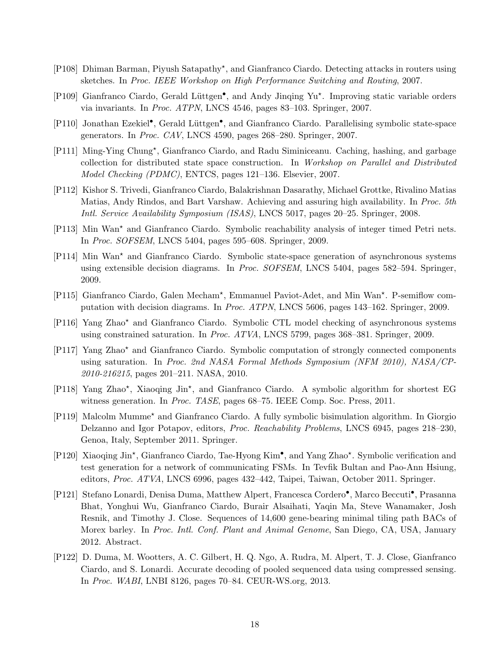- <span id="page-17-10"></span>[P108] Dhiman Barman, Piyush Satapathy<sup>\*</sup>, and Gianfranco Ciardo. Detecting attacks in routers using sketches. In Proc. IEEE Workshop on High Performance Switching and Routing, 2007.
- <span id="page-17-0"></span>[P109] Gianfranco Ciardo, Gerald Lüttgen<sup>•</sup>, and Andy Jinqing Yu<sup>\*</sup>. Improving static variable orders via invariants. In Proc. ATPN, LNCS 4546, pages 83–103. Springer, 2007.
- <span id="page-17-5"></span>[P110] Jonathan Ezekiel<sup>•</sup>, Gerald Lüttgen<sup>•</sup>, and Gianfranco Ciardo. Parallelising symbolic state-space generators. In Proc. CAV, LNCS 4590, pages 268–280. Springer, 2007.
- <span id="page-17-6"></span>[P111] Ming-Ying Chung\*, Gianfranco Ciardo, and Radu Siminiceanu. Caching, hashing, and garbage collection for distributed state space construction. In Workshop on Parallel and Distributed Model Checking (PDMC), ENTCS, pages 121–136. Elsevier, 2007.
- <span id="page-17-11"></span>[P112] Kishor S. Trivedi, Gianfranco Ciardo, Balakrishnan Dasarathy, Michael Grottke, Rivalino Matias Matias, Andy Rindos, and Bart Varshaw. Achieving and assuring high availability. In Proc. 5th Intl. Service Availability Symposium (ISAS), LNCS 5017, pages 20–25. Springer, 2008.
- <span id="page-17-12"></span>[P113] Min Wan? and Gianfranco Ciardo. Symbolic reachability analysis of integer timed Petri nets. In Proc. SOFSEM, LNCS 5404, pages 595–608. Springer, 2009.
- <span id="page-17-7"></span>[P114] Min Wan? and Gianfranco Ciardo. Symbolic state-space generation of asynchronous systems using extensible decision diagrams. In Proc. SOFSEM, LNCS 5404, pages 582–594. Springer, 2009.
- <span id="page-17-8"></span>[P115] Gianfranco Ciardo, Galen Mecham<sup>\*</sup>, Emmanuel Paviot-Adet, and Min Wan<sup>\*</sup>. P-semiflow computation with decision diagrams. In Proc. ATPN, LNCS 5606, pages 143–162. Springer, 2009.
- <span id="page-17-1"></span>[P116] Yang Zhao? and Gianfranco Ciardo. Symbolic CTL model checking of asynchronous systems using constrained saturation. In Proc. ATVA, LNCS 5799, pages 368–381. Springer, 2009.
- <span id="page-17-2"></span>[P117] Yang Zhao? and Gianfranco Ciardo. Symbolic computation of strongly connected components using saturation. In Proc. 2nd NASA Formal Methods Symposium (NFM 2010), NASA/CP-2010-216215, pages 201–211. NASA, 2010.
- <span id="page-17-3"></span>[P118] Yang Zhao\*, Xiaoqing Jin\*, and Gianfranco Ciardo. A symbolic algorithm for shortest EG witness generation. In Proc. TASE, pages 68–75. IEEE Comp. Soc. Press, 2011.
- <span id="page-17-9"></span>[P119] Malcolm Mumme? and Gianfranco Ciardo. A fully symbolic bisimulation algorithm. In Giorgio Delzanno and Igor Potapov, editors, Proc. Reachability Problems, LNCS 6945, pages 218–230, Genoa, Italy, September 2011. Springer.
- <span id="page-17-4"></span>[P120] Xiaoqing Jin\*, Gianfranco Ciardo, Tae-Hyong Kim<sup>•</sup>, and Yang Zhao\*. Symbolic verification and test generation for a network of communicating FSMs. In Tevfik Bultan and Pao-Ann Hsiung, editors, Proc. ATVA, LNCS 6996, pages 432–442, Taipei, Taiwan, October 2011. Springer.
- <span id="page-17-13"></span>[P121] Stefano Lonardi, Denisa Duma, Matthew Alpert, Francesca Cordero<sup>•</sup>, Marco Beccuti<sup>•</sup>, Prasanna Bhat, Yonghui Wu, Gianfranco Ciardo, Burair Alsaihati, Yaqin Ma, Steve Wanamaker, Josh Resnik, and Timothy J. Close. Sequences of 14,600 gene-bearing minimal tiling path BACs of Morex barley. In *Proc. Intl. Conf. Plant and Animal Genome*, San Diego, CA, USA, January 2012. Abstract.
- <span id="page-17-14"></span>[P122] D. Duma, M. Wootters, A. C. Gilbert, H. Q. Ngo, A. Rudra, M. Alpert, T. J. Close, Gianfranco Ciardo, and S. Lonardi. Accurate decoding of pooled sequenced data using compressed sensing. In Proc. WABI, LNBI 8126, pages 70–84. CEUR-WS.org, 2013.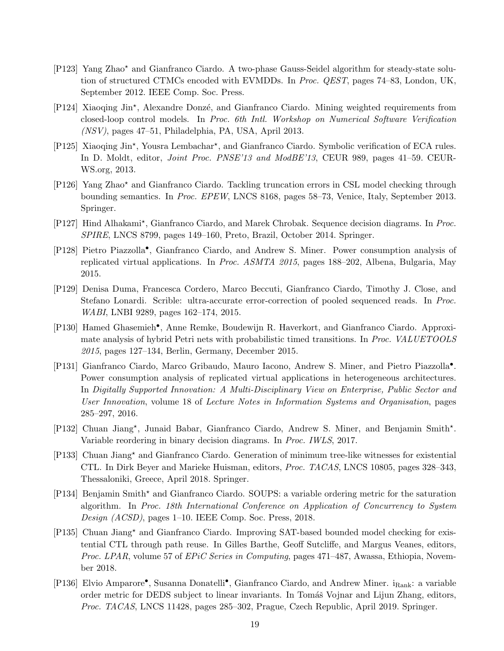- <span id="page-18-7"></span>[P123] Yang Zhao? and Gianfranco Ciardo. A two-phase Gauss-Seidel algorithm for steady-state solution of structured CTMCs encoded with EVMDDs. In Proc. QEST, pages 74–83, London, UK, September 2012. IEEE Comp. Soc. Press.
- <span id="page-18-11"></span>[P124] Xiaoqing Jin\*, Alexandre Donzé, and Gianfranco Ciardo. Mining weighted requirements from closed-loop control models. In Proc. 6th Intl. Workshop on Numerical Software Verification (NSV), pages 47–51, Philadelphia, PA, USA, April 2013.
- <span id="page-18-0"></span>[P125] Xiaoqing Jin\*, Yousra Lembachar\*, and Gianfranco Ciardo. Symbolic verification of ECA rules. In D. Moldt, editor, *Joint Proc. PNSE'13 and ModBE'13*, CEUR 989, pages 41–59. CEUR-WS.org, 2013.
- <span id="page-18-10"></span>[P126] Yang Zhao? and Gianfranco Ciardo. Tackling truncation errors in CSL model checking through bounding semantics. In Proc. EPEW, LNCS 8168, pages 58–73, Venice, Italy, September 2013. Springer.
- <span id="page-18-2"></span>[P127] Hind Alhakami\*, Gianfranco Ciardo, and Marek Chrobak. Sequence decision diagrams. In Proc. SPIRE, LNCS 8799, pages 149–160, Preto, Brazil, October 2014. Springer.
- <span id="page-18-8"></span>[P128] Pietro Piazzolla• , Gianfranco Ciardo, and Andrew S. Miner. Power consumption analysis of replicated virtual applications. In Proc. ASMTA 2015, pages 188–202, Albena, Bulgaria, May 2015.
- <span id="page-18-13"></span>[P129] Denisa Duma, Francesca Cordero, Marco Beccuti, Gianfranco Ciardo, Timothy J. Close, and Stefano Lonardi. Scrible: ultra-accurate error-correction of pooled sequenced reads. In Proc. WABI, LNBI 9289, pages 162–174, 2015.
- <span id="page-18-12"></span>[P130] Hamed Ghasemieh• , Anne Remke, Boudewijn R. Haverkort, and Gianfranco Ciardo. Approximate analysis of hybrid Petri nets with probabilistic timed transitions. In Proc. VALUETOOLS 2015, pages 127–134, Berlin, Germany, December 2015.
- <span id="page-18-9"></span>[P131] Gianfranco Ciardo, Marco Gribaudo, Mauro Iacono, Andrew S. Miner, and Pietro Piazzolla• . Power consumption analysis of replicated virtual applications in heterogeneous architectures. In Digitally Supported Innovation: A Multi-Disciplinary View on Enterprise, Public Sector and User Innovation, volume 18 of Lecture Notes in Information Systems and Organisation, pages 285–297, 2016.
- <span id="page-18-3"></span>[P132] Chuan Jiang\*, Junaid Babar, Gianfranco Ciardo, Andrew S. Miner, and Benjamin Smith\*. Variable reordering in binary decision diagrams. In Proc. IWLS, 2017.
- <span id="page-18-4"></span>[P133] Chuan Jiang? and Gianfranco Ciardo. Generation of minimum tree-like witnesses for existential CTL. In Dirk Beyer and Marieke Huisman, editors, Proc. TACAS, LNCS 10805, pages 328–343, Thessaloniki, Greece, April 2018. Springer.
- <span id="page-18-5"></span>[P134] Benjamin Smith? and Gianfranco Ciardo. SOUPS: a variable ordering metric for the saturation algorithm. In Proc. 18th International Conference on Application of Concurrency to System Design (ACSD), pages 1–10. IEEE Comp. Soc. Press, 2018.
- <span id="page-18-1"></span>[P135] Chuan Jiang? and Gianfranco Ciardo. Improving SAT-based bounded model checking for existential CTL through path reuse. In Gilles Barthe, Geoff Sutcliffe, and Margus Veanes, editors, Proc. LPAR, volume 57 of EPiC Series in Computing, pages 471–487, Awassa, Ethiopia, November 2018.
- <span id="page-18-6"></span>[P136] Elvio Amparore<sup>•</sup>, Susanna Donatelli<sup>•</sup>, Gianfranco Ciardo, and Andrew Miner. i<sub>Rank</sub>: a variable order metric for DEDS subject to linear invariants. In Tomáš Vojnar and Lijun Zhang, editors, Proc. TACAS, LNCS 11428, pages 285–302, Prague, Czech Republic, April 2019. Springer.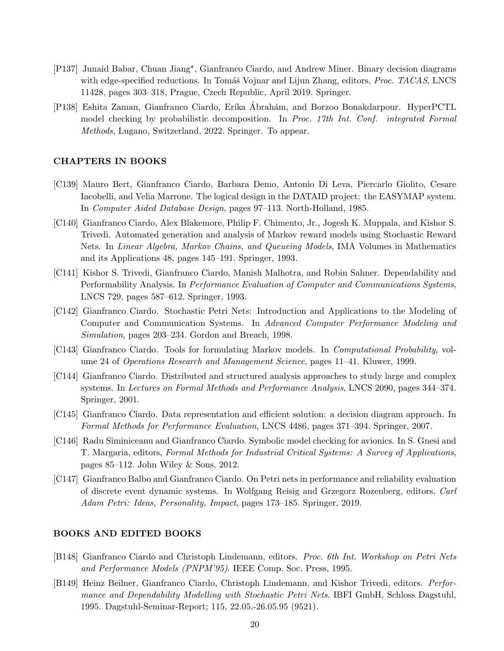- <span id="page-19-2"></span>[P137] Junaid Babar, Chuan Jiang\*, Gianfranco Ciardo, and Andrew Miner. Binary decision diagrams with edge-specified reductions. In Tomáš Vojnar and Lijun Zhang, editors, *Proc. TACAS*, LNCS 11428, pages 303–318, Prague, Czech Republic, April 2019. Springer.
- <span id="page-19-0"></span>[P138] Eshita Zaman, Gianfranco Ciardo, Erika Abrah´am, and Borzoo Bonakdarpour. HyperPCTL ´ model checking by probabilistic decomposition. In Proc. 17th Int. Conf. integrated Formal Methods, Lugano, Switzerland, 2022. Springer. To appear.

#### CHAPTERS IN BOOKS

- <span id="page-19-10"></span>[C139] Mauro Bert, Gianfranco Ciardo, Barbara Demo, Antonio Di Leva, Piercarlo Giolito, Cesare Iacobelli, and Velia Marrone. The logical design in the DATAID project: the EASYMAP system. In Computer Aided Database Design, pages 97–113. North-Holland, 1985.
- <span id="page-19-7"></span>[C140] Gianfranco Ciardo, Alex Blakemore, Philip F. Chimento, Jr., Jogesh K. Muppala, and Kishor S. Trivedi. Automated generation and analysis of Markov reward models using Stochastic Reward Nets. In Linear Algebra, Markov Chains, and Queueing Models, IMA Volumes in Mathematics and its Applications 48, pages 145–191. Springer, 1993.
- <span id="page-19-3"></span>[C141] Kishor S. Trivedi, Gianfranco Ciardo, Manish Malhotra, and Robin Sahner. Dependability and Performability Analysis. In Performance Evaluation of Computer and Communications Systems, LNCS 729, pages 587–612. Springer, 1993.
- <span id="page-19-8"></span>[C142] Gianfranco Ciardo. Stochastic Petri Nets: Introduction and Applications to the Modeling of Computer and Communication Systems. In Advanced Computer Performance Modeling and Simulation, pages 203–234. Gordon and Breach, 1998.
- <span id="page-19-5"></span>[C143] Gianfranco Ciardo. Tools for formulating Markov models. In *Computational Probability*, volume 24 of Operations Research and Management Science, pages 11–41. Kluwer, 1999.
- <span id="page-19-1"></span>[C144] Gianfranco Ciardo. Distributed and structured analysis approaches to study large and complex systems. In Lectures on Formal Methods and Performance Analysis, LNCS 2090, pages 344–374. Springer, 2001.
- <span id="page-19-12"></span>[C145] Gianfranco Ciardo. Data representation and efficient solution: a decision diagram approach. In Formal Methods for Performance Evaluation, LNCS 4486, pages 371–394. Springer, 2007.
- <span id="page-19-4"></span>[C146] Radu Siminiceanu and Gianfranco Ciardo. Symbolic model checking for avionics. In S. Gnesi and T. Margaria, editors, Formal Methods for Industrial Critical Systems: A Survey of Applications, pages 85–112. John Wiley & Sons, 2012.
- <span id="page-19-6"></span>[C147] Gianfranco Balbo and Gianfranco Ciardo. On Petri nets in performance and reliability evaluation of discrete event dynamic systems. In Wolfgang Reisig and Grzegorz Rozenberg, editors, Carl Adam Petri: Ideas, Personality, Impact, pages 173–185. Springer, 2019.

## BOOKS AND EDITED BOOKS

- <span id="page-19-9"></span>[B148] Gianfranco Ciardo and Christoph Lindemann, editors. Proc. 6th Int. Workshop on Petri Nets and Performance Models (PNPM'95). IEEE Comp. Soc. Press, 1995.
- <span id="page-19-11"></span>[B149] Heinz Beilner, Gianfranco Ciardo, Christoph Lindemann, and Kishor Trivedi, editors. Performance and Dependability Modelling with Stochastic Petri Nets. IBFI GmbH, Schloss Dagstuhl, 1995. Dagstuhl-Seminar-Report; 115, 22.05.-26.05.95 (9521).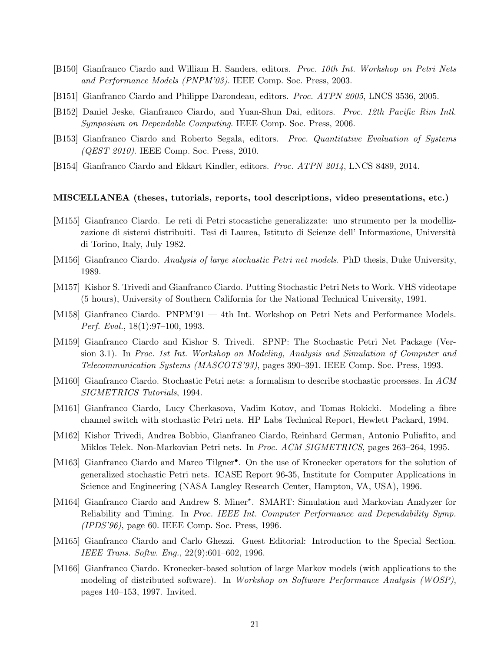- <span id="page-20-4"></span>[B150] Gianfranco Ciardo and William H. Sanders, editors. Proc. 10th Int. Workshop on Petri Nets and Performance Models (PNPM'03). IEEE Comp. Soc. Press, 2003.
- <span id="page-20-3"></span>[B151] Gianfranco Ciardo and Philippe Darondeau, editors. Proc. ATPN 2005, LNCS 3536, 2005.
- <span id="page-20-11"></span>[B152] Daniel Jeske, Gianfranco Ciardo, and Yuan-Shun Dai, editors. Proc. 12th Pacific Rim Intl. Symposium on Dependable Computing. IEEE Comp. Soc. Press, 2006.
- <span id="page-20-10"></span>[B153] Gianfranco Ciardo and Roberto Segala, editors. *Proc. Quantitative Evaluation of Systems* (QEST 2010). IEEE Comp. Soc. Press, 2010.
- <span id="page-20-9"></span>[B154] Gianfranco Ciardo and Ekkart Kindler, editors. *Proc. ATPN 2014*, LNCS 8489, 2014.

#### MISCELLANEA (theses, tutorials, reports, tool descriptions, video presentations, etc.)

- <span id="page-20-6"></span>[M155] Gianfranco Ciardo. Le reti di Petri stocastiche generalizzate: uno strumento per la modellizzazione di sistemi distribuiti. Tesi di Laurea, Istituto di Scienze dell'Informazione, Università di Torino, Italy, July 1982.
- <span id="page-20-5"></span>[M156] Gianfranco Ciardo. Analysis of large stochastic Petri net models. PhD thesis, Duke University, 1989.
- <span id="page-20-16"></span>[M157] Kishor S. Trivedi and Gianfranco Ciardo. Putting Stochastic Petri Nets to Work. VHS videotape (5 hours), University of Southern California for the National Technical University, 1991.
- <span id="page-20-12"></span>[M158] Gianfranco Ciardo. PNPM'91 — 4th Int. Workshop on Petri Nets and Performance Models. Perf. Eval., 18(1):97–100, 1993.
- <span id="page-20-13"></span>[M159] Gianfranco Ciardo and Kishor S. Trivedi. SPNP: The Stochastic Petri Net Package (Version 3.1). In Proc. 1st Int. Workshop on Modeling, Analysis and Simulation of Computer and Telecommunication Systems (MASCOTS'93), pages 390–391. IEEE Comp. Soc. Press, 1993.
- <span id="page-20-15"></span>[M160] Gianfranco Ciardo. Stochastic Petri nets: a formalism to describe stochastic processes. In ACM SIGMETRICS Tutorials, 1994.
- <span id="page-20-1"></span>[M161] Gianfranco Ciardo, Lucy Cherkasova, Vadim Kotov, and Tomas Rokicki. Modeling a fibre channel switch with stochastic Petri nets. HP Labs Technical Report, Hewlett Packard, 1994.
- <span id="page-20-8"></span>[M162] Kishor Trivedi, Andrea Bobbio, Gianfranco Ciardo, Reinhard German, Antonio Puliafito, and Miklos Telek. Non-Markovian Petri nets. In Proc. ACM SIGMETRICS, pages 263–264, 1995.
- <span id="page-20-0"></span>[M163] Gianfranco Ciardo and Marco Tilgner<sup>•</sup>. On the use of Kronecker operators for the solution of generalized stochastic Petri nets. ICASE Report 96-35, Institute for Computer Applications in Science and Engineering (NASA Langley Research Center, Hampton, VA, USA), 1996.
- <span id="page-20-2"></span>[M164] Gianfranco Ciardo and Andrew S. Miner\*. SMART: Simulation and Markovian Analyzer for Reliability and Timing. In Proc. IEEE Int. Computer Performance and Dependability Symp. (IPDS'96), page 60. IEEE Comp. Soc. Press, 1996.
- <span id="page-20-7"></span>[M165] Gianfranco Ciardo and Carlo Ghezzi. Guest Editorial: Introduction to the Special Section. IEEE Trans. Softw. Eng., 22(9):601–602, 1996.
- <span id="page-20-14"></span>[M166] Gianfranco Ciardo. Kronecker-based solution of large Markov models (with applications to the modeling of distributed software). In Workshop on Software Performance Analysis (WOSP), pages 140–153, 1997. Invited.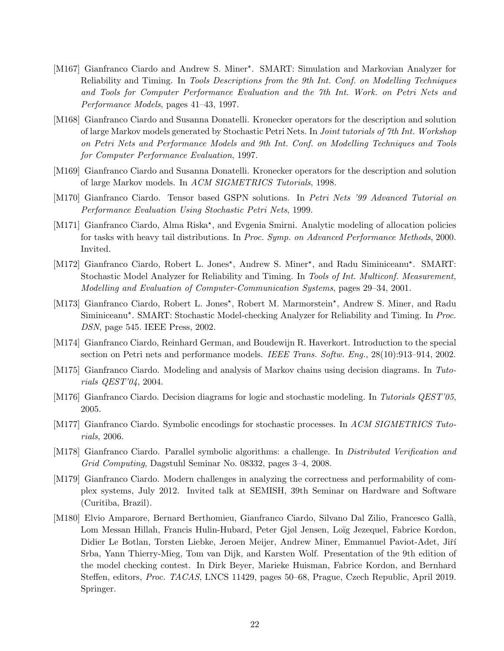- <span id="page-21-2"></span>[M167] Gianfranco Ciardo and Andrew S. Miner\*. SMART: Simulation and Markovian Analyzer for Reliability and Timing. In Tools Descriptions from the 9th Int. Conf. on Modelling Techniques and Tools for Computer Performance Evaluation and the 7th Int. Work. on Petri Nets and Performance Models, pages 41–43, 1997.
- <span id="page-21-13"></span>[M168] Gianfranco Ciardo and Susanna Donatelli. Kronecker operators for the description and solution of large Markov models generated by Stochastic Petri Nets. In Joint tutorials of 7th Int. Workshop on Petri Nets and Performance Models and 9th Int. Conf. on Modelling Techniques and Tools for Computer Performance Evaluation, 1997.
- <span id="page-21-12"></span>[M169] Gianfranco Ciardo and Susanna Donatelli. Kronecker operators for the description and solution of large Markov models. In ACM SIGMETRICS Tutorials, 1998.
- <span id="page-21-11"></span>[M170] Gianfranco Ciardo. Tensor based GSPN solutions. In Petri Nets '99 Advanced Tutorial on Performance Evaluation Using Stochastic Petri Nets, 1999.
- <span id="page-21-0"></span>[M171] Gianfranco Ciardo, Alma Riska\*, and Evgenia Smirni. Analytic modeling of allocation policies for tasks with heavy tail distributions. In Proc. Symp. on Advanced Performance Methods, 2000. Invited.
- <span id="page-21-3"></span>[M172] Gianfranco Ciardo, Robert L. Jones\*, Andrew S. Miner\*, and Radu Siminiceanu\*. SMART: Stochastic Model Analyzer for Reliability and Timing. In Tools of Int. Multiconf. Measurement, Modelling and Evaluation of Computer-Communication Systems, pages 29–34, 2001.
- <span id="page-21-4"></span>[M173] Gianfranco Ciardo, Robert L. Jones\*, Robert M. Marmorstein\*, Andrew S. Miner, and Radu Siminiceanu\*. SMART: Stochastic Model-checking Analyzer for Reliability and Timing. In Proc. DSN, page 545. IEEE Press, 2002.
- <span id="page-21-7"></span>[M174] Gianfranco Ciardo, Reinhard German, and Boudewijn R. Haverkort. Introduction to the special section on Petri nets and performance models. IEEE Trans. Softw. Eng., 28(10):913–914, 2002.
- <span id="page-21-1"></span>[M175] Gianfranco Ciardo. Modeling and analysis of Markov chains using decision diagrams. In Tutorials QEST'04, 2004.
- <span id="page-21-10"></span>[M176] Gianfranco Ciardo. Decision diagrams for logic and stochastic modeling. In Tutorials QEST'05, 2005.
- <span id="page-21-9"></span>[M177] Gianfranco Ciardo. Symbolic encodings for stochastic processes. In ACM SIGMETRICS Tutorials, 2006.
- <span id="page-21-8"></span>[M178] Gianfranco Ciardo. Parallel symbolic algorithms: a challenge. In *Distributed Verification and* Grid Computing, Dagstuhl Seminar No. 08332, pages 3–4, 2008.
- <span id="page-21-6"></span>[M179] Gianfranco Ciardo. Modern challenges in analyzing the correctness and performability of complex systems, July 2012. Invited talk at SEMISH, 39th Seminar on Hardware and Software (Curitiba, Brazil).
- <span id="page-21-5"></span>[M180] Elvio Amparore, Bernard Berthomieu, Gianfranco Ciardo, Silvano Dal Zilio, Francesco Gall`a, Lom Messan Hillah, Francis Hulin-Hubard, Peter Gjøl Jensen, Loïg Jezequel, Fabrice Kordon, Didier Le Botlan, Torsten Liebke, Jeroen Meijer, Andrew Miner, Emmanuel Paviot-Adet, Jiří Srba, Yann Thierry-Mieg, Tom van Dijk, and Karsten Wolf. Presentation of the 9th edition of the model checking contest. In Dirk Beyer, Marieke Huisman, Fabrice Kordon, and Bernhard Steffen, editors, Proc. TACAS, LNCS 11429, pages 50–68, Prague, Czech Republic, April 2019. Springer.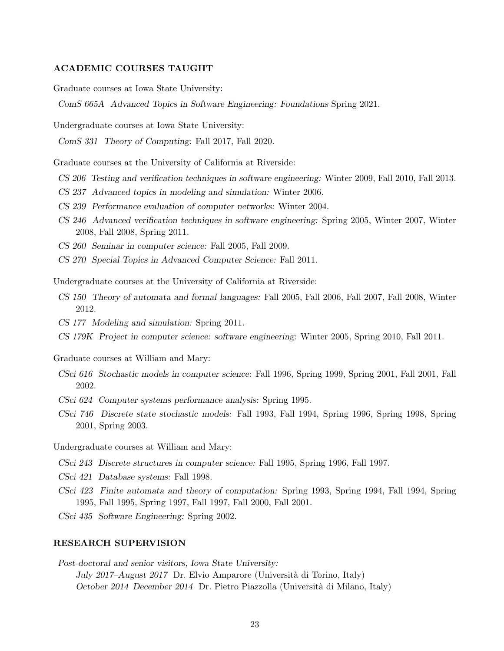#### ACADEMIC COURSES TAUGHT

Graduate courses at Iowa State University:

ComS 665A Advanced Topics in Software Engineering: Foundations Spring 2021.

Undergraduate courses at Iowa State University:

ComS 331 Theory of Computing: Fall 2017, Fall 2020.

Graduate courses at the University of California at Riverside:

- CS 206 Testing and verification techniques in software engineering: Winter 2009, Fall 2010, Fall 2013.
- CS 237 Advanced topics in modeling and simulation: Winter 2006.
- CS 239 Performance evaluation of computer networks: Winter 2004.
- CS 246 Advanced verification techniques in software engineering: Spring 2005, Winter 2007, Winter 2008, Fall 2008, Spring 2011.
- CS 260 Seminar in computer science: Fall 2005, Fall 2009.
- CS 270 Special Topics in Advanced Computer Science: Fall 2011.

Undergraduate courses at the University of California at Riverside:

- CS 150 Theory of automata and formal languages: Fall 2005, Fall 2006, Fall 2007, Fall 2008, Winter 2012.
- CS 177 Modeling and simulation: Spring 2011.
- CS 179K Project in computer science: software engineering: Winter 2005, Spring 2010, Fall 2011.
- Graduate courses at William and Mary:
- CSci 616 Stochastic models in computer science: Fall 1996, Spring 1999, Spring 2001, Fall 2001, Fall 2002.
- CSci 624 Computer systems performance analysis: Spring 1995.
- CSci 746 Discrete state stochastic models: Fall 1993, Fall 1994, Spring 1996, Spring 1998, Spring 2001, Spring 2003.

Undergraduate courses at William and Mary:

- CSci 243 Discrete structures in computer science: Fall 1995, Spring 1996, Fall 1997.
- CSci 421 Database systems: Fall 1998.
- CSci 423 Finite automata and theory of computation: Spring 1993, Spring 1994, Fall 1994, Spring 1995, Fall 1995, Spring 1997, Fall 1997, Fall 2000, Fall 2001.
- CSci 435 Software Engineering: Spring 2002.

### RESEARCH SUPERVISION

Post-doctoral and senior visitors, Iowa State University: July 2017–August 2017 Dr. Elvio Amparore (Universit`a di Torino, Italy) October 2014–December 2014 Dr. Pietro Piazzolla (Università di Milano, Italy)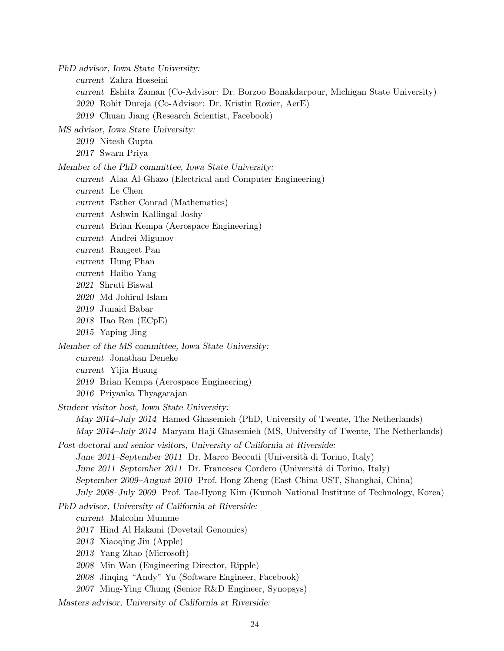PhD advisor, Iowa State University:

current Zahra Hosseini

current Eshita Zaman (Co-Advisor: Dr. Borzoo Bonakdarpour, Michigan State University) 2020 Rohit Dureja (Co-Advisor: Dr. Kristin Rozier, AerE)

2019 Chuan Jiang (Research Scientist, Facebook)

MS advisor, Iowa State University:

2019 Nitesh Gupta

2017 Swarn Priya

Member of the PhD committee, Iowa State University:

- current Alaa Al-Ghazo (Electrical and Computer Engineering)
- current Le Chen
- current Esther Conrad (Mathematics)
- current Ashwin Kallingal Joshy

current Brian Kempa (Aerospace Engineering)

- current Andrei Migunov
- current Rangeet Pan
- current Hung Phan
- current Haibo Yang
- 2021 Shruti Biswal
- 2020 Md Johirul Islam
- 2019 Junaid Babar
- 2018 Hao Ren (ECpE)
- 2015 Yaping Jing

Member of the MS committee, Iowa State University:

current Jonathan Deneke

- current Yijia Huang
- 2019 Brian Kempa (Aerospace Engineering)
- 2016 Priyanka Thyagarajan

Student visitor host, Iowa State University:

May 2014–July 2014 Hamed Ghasemieh (PhD, University of Twente, The Netherlands) May 2014–July 2014 Maryam Haji Ghasemieh (MS, University of Twente, The Netherlands)

Post-doctoral and senior visitors, University of California at Riverside: June 2011–September 2011 Dr. Marco Beccuti (Università di Torino, Italy)

June 2011–September 2011 Dr. Francesca Cordero (Università di Torino, Italy)

September 2009–August 2010 Prof. Hong Zheng (East China UST, Shanghai, China)

July 2008–July 2009 Prof. Tae-Hyong Kim (Kumoh National Institute of Technology, Korea)

PhD advisor, University of California at Riverside:

current Malcolm Mumme

- 2017 Hind Al Hakami (Dovetail Genomics)
- 2013 Xiaoqing Jin (Apple)
- 2013 Yang Zhao (Microsoft)
- 2008 Min Wan (Engineering Director, Ripple)
- 2008 Jinqing "Andy" Yu (Software Engineer, Facebook)
- 2007 Ming-Ying Chung (Senior R&D Engineer, Synopsys)

Masters advisor, University of California at Riverside: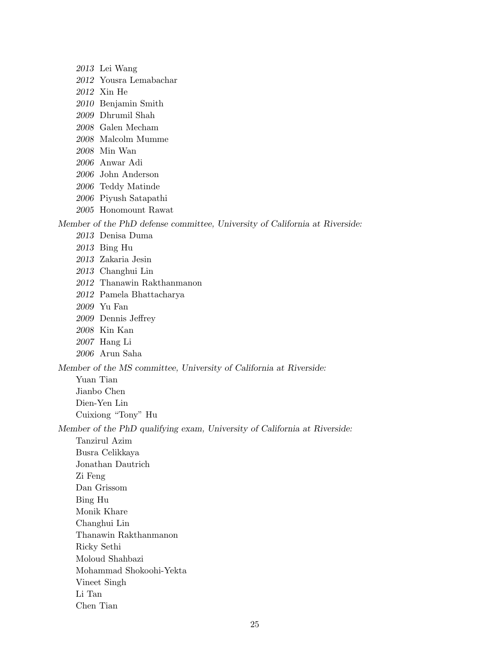2013 Lei Wang 2012 Yousra Lemabachar 2012 Xin He 2010 Benjamin Smith 2009 Dhrumil Shah 2008 Galen Mecham 2008 Malcolm Mumme 2008 Min Wan 2006 Anwar Adi 2006 John Anderson 2006 Teddy Matinde 2006 Piyush Satapathi 2005 Honomount Rawat Member of the PhD defense committee, University of California at Riverside: 2013 Denisa Duma 2013 Bing Hu 2013 Zakaria Jesin 2013 Changhui Lin 2012 Thanawin Rakthanmanon 2012 Pamela Bhattacharya 2009 Yu Fan 2009 Dennis Jeffrey 2008 Kin Kan 2007 Hang Li 2006 Arun Saha Member of the MS committee, University of California at Riverside: Yuan Tian Jianbo Chen Dien-Yen Lin Cuixiong "Tony" Hu Member of the PhD qualifying exam, University of California at Riverside: Tanzirul Azim Busra Celikkaya Jonathan Dautrich Zi Feng Dan Grissom Bing Hu Monik Khare Changhui Lin Thanawin Rakthanmanon Ricky Sethi Moloud Shahbazi Mohammad Shokoohi-Yekta Vineet Singh Li Tan

Chen Tian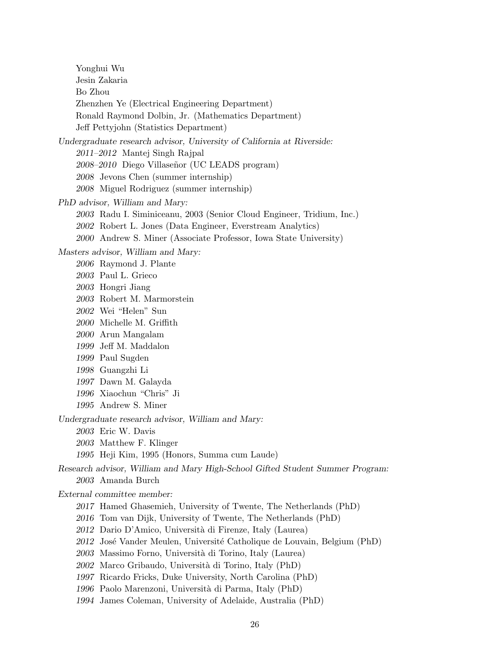Yonghui Wu Jesin Zakaria Bo Zhou Zhenzhen Ye (Electrical Engineering Department) Ronald Raymond Dolbin, Jr. (Mathematics Department) Jeff Pettyjohn (Statistics Department) Undergraduate research advisor, University of California at Riverside: 2011–2012 Mantej Singh Rajpal 2008–2010 Diego Villaseñor (UC LEADS program) Jevons Chen (summer internship) Miguel Rodriguez (summer internship) PhD advisor, William and Mary: Radu I. Siminiceanu, 2003 (Senior Cloud Engineer, Tridium, Inc.) Robert L. Jones (Data Engineer, Everstream Analytics) Andrew S. Miner (Associate Professor, Iowa State University) Masters advisor, William and Mary: Raymond J. Plante Paul L. Grieco Hongri Jiang Robert M. Marmorstein Wei "Helen" Sun Michelle M. Griffith Arun Mangalam Jeff M. Maddalon Paul Sugden Guangzhi Li Dawn M. Galayda Xiaochun "Chris" Ji Andrew S. Miner Undergraduate research advisor, William and Mary: Eric W. Davis Matthew F. Klinger Heji Kim, 1995 (Honors, Summa cum Laude) Research advisor, William and Mary High-School Gifted Student Summer Program: Amanda Burch External committee member: Hamed Ghasemieh, University of Twente, The Netherlands (PhD) Tom van Dijk, University of Twente, The Netherlands (PhD) 2012 Dario D'Amico, Università di Firenze, Italy (Laurea) 2012 José Vander Meulen, Université Catholique de Louvain, Belgium (PhD) Massimo Forno, Universit`a di Torino, Italy (Laurea) Marco Gribaudo, Universit`a di Torino, Italy (PhD) Ricardo Fricks, Duke University, North Carolina (PhD) Paolo Marenzoni, Universit`a di Parma, Italy (PhD) James Coleman, University of Adelaide, Australia (PhD)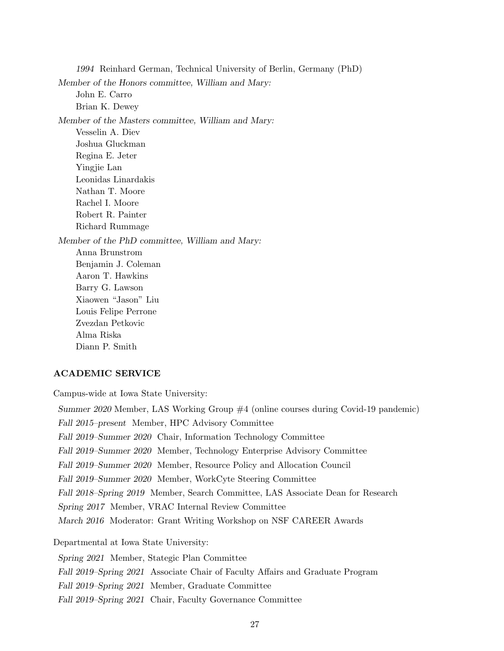1994 Reinhard German, Technical University of Berlin, Germany (PhD) Member of the Honors committee, William and Mary: John E. Carro Brian K. Dewey Member of the Masters committee, William and Mary: Vesselin A. Diev Joshua Gluckman Regina E. Jeter Yingjie Lan Leonidas Linardakis Nathan T. Moore Rachel I. Moore Robert R. Painter Richard Rummage Member of the PhD committee, William and Mary: Anna Brunstrom Benjamin J. Coleman Aaron T. Hawkins Barry G. Lawson Xiaowen "Jason" Liu Louis Felipe Perrone Zvezdan Petkovic Alma Riska Diann P. Smith

### ACADEMIC SERVICE

Campus-wide at Iowa State University:

Summer 2020 Member, LAS Working Group #4 (online courses during Covid-19 pandemic) Fall 2015–present Member, HPC Advisory Committee Fall 2019–Summer 2020 Chair, Information Technology Committee Fall 2019–Summer 2020 Member, Technology Enterprise Advisory Committee Fall 2019–Summer 2020 Member, Resource Policy and Allocation Council Fall 2019–Summer 2020 Member, WorkCyte Steering Committee Fall 2018–Spring 2019 Member, Search Committee, LAS Associate Dean for Research Spring 2017 Member, VRAC Internal Review Committee March 2016 Moderator: Grant Writing Workshop on NSF CAREER Awards Departmental at Iowa State University:

Spring 2021 Member, Stategic Plan Committee Fall 2019–Spring 2021 Associate Chair of Faculty Affairs and Graduate Program Fall 2019–Spring 2021 Member, Graduate Committee Fall 2019–Spring 2021 Chair, Faculty Governance Committee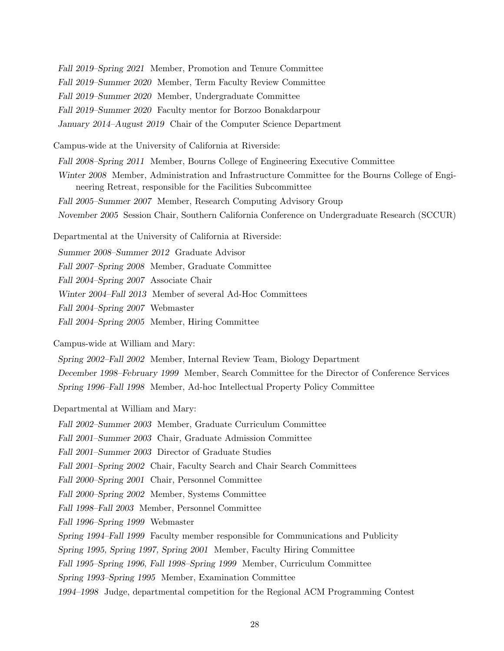Fall 2019–Spring 2021 Member, Promotion and Tenure Committee Fall 2019–Summer 2020 Member, Term Faculty Review Committee Fall 2019–Summer 2020 Member, Undergraduate Committee Fall 2019–Summer 2020 Faculty mentor for Borzoo Bonakdarpour January 2014–August 2019 Chair of the Computer Science Department

Campus-wide at the University of California at Riverside:

Fall 2008–Spring 2011 Member, Bourns College of Engineering Executive Committee

Winter 2008 Member, Administration and Infrastructure Committee for the Bourns College of Engineering Retreat, responsible for the Facilities Subcommittee

Fall 2005–Summer 2007 Member, Research Computing Advisory Group

November 2005 Session Chair, Southern California Conference on Undergraduate Research (SCCUR)

Departmental at the University of California at Riverside:

Summer 2008–Summer 2012 Graduate Advisor

Fall 2007–Spring 2008 Member, Graduate Committee

Fall 2004–Spring 2007 Associate Chair

Winter 2004–Fall 2013 Member of several Ad-Hoc Committees

Fall 2004–Spring 2007 Webmaster

Fall 2004–Spring 2005 Member, Hiring Committee

Campus-wide at William and Mary:

Spring 2002–Fall 2002 Member, Internal Review Team, Biology Department December 1998–February 1999 Member, Search Committee for the Director of Conference Services Spring 1996–Fall 1998 Member, Ad-hoc Intellectual Property Policy Committee

#### Departmental at William and Mary:

Fall 2002–Summer 2003 Member, Graduate Curriculum Committee

Fall 2001–Summer 2003 Chair, Graduate Admission Committee

Fall 2001–Summer 2003 Director of Graduate Studies

Fall 2001–Spring 2002 Chair, Faculty Search and Chair Search Committees

Fall 2000–Spring 2001 Chair, Personnel Committee

Fall 2000–Spring 2002 Member, Systems Committee

Fall 1998–Fall 2003 Member, Personnel Committee

Fall 1996–Spring 1999 Webmaster

Spring 1994–Fall 1999 Faculty member responsible for Communications and Publicity

Spring 1995, Spring 1997, Spring 2001 Member, Faculty Hiring Committee

Fall 1995–Spring 1996, Fall 1998–Spring 1999 Member, Curriculum Committee

Spring 1993–Spring 1995 Member, Examination Committee

1994–1998 Judge, departmental competition for the Regional ACM Programming Contest